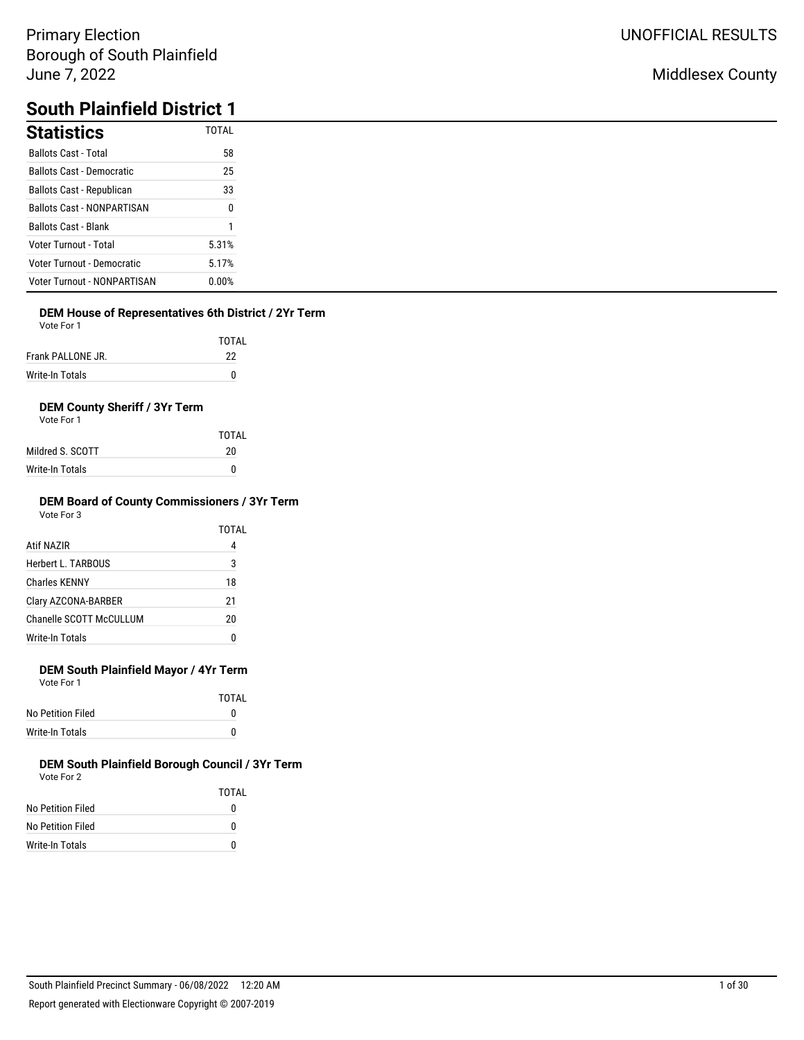# **South Plainfield District 1**

| <b>Statistics</b>                  | <b>TOTAL</b> |
|------------------------------------|--------------|
| <b>Ballots Cast - Total</b>        | 58           |
| <b>Ballots Cast - Democratic</b>   | 25           |
| <b>Ballots Cast - Republican</b>   | 33           |
| <b>Ballots Cast - NONPARTISAN</b>  | $\Omega$     |
| <b>Ballots Cast - Blank</b>        |              |
| Voter Turnout - Total              | 5.31%        |
| Voter Turnout - Democratic         | 5.17%        |
| <b>Voter Turnout - NONPARTISAN</b> | 0.00%        |

## **DEM House of Representatives 6th District / 2Yr Term**

Vote For 1

|                   | TOTAL |
|-------------------|-------|
| Frank PALLONE JR. | -22   |

| Write-In Totals |  |
|-----------------|--|
|                 |  |

## **DEM County Sheriff / 3Yr Term**

Vote For 1

|                  | TOTAI |
|------------------|-------|
| Mildred S. SCOTT | 20    |
| Write-In Totals  | n     |

#### **DEM Board of County Commissioners / 3Yr Term** Vote For 3

|                         | TOTAL |
|-------------------------|-------|
| Atif NAZIR              | 4     |
| Herbert L. TARBOUS      | 3     |
| <b>Charles KENNY</b>    | 18    |
| Clary AZCONA-BARBER     | 21    |
| Chanelle SCOTT McCULLUM | 20    |
| Write-In Totals         | O     |

## **DEM South Plainfield Mayor / 4Yr Term**

Vote For 1

|                   | TOTAI |
|-------------------|-------|
| No Petition Filed | o     |
| Write-In Totals   | o     |

|                   | TOTAI |
|-------------------|-------|
| No Petition Filed | 0     |
| No Petition Filed | 0     |
| Write-In Totals   | 0     |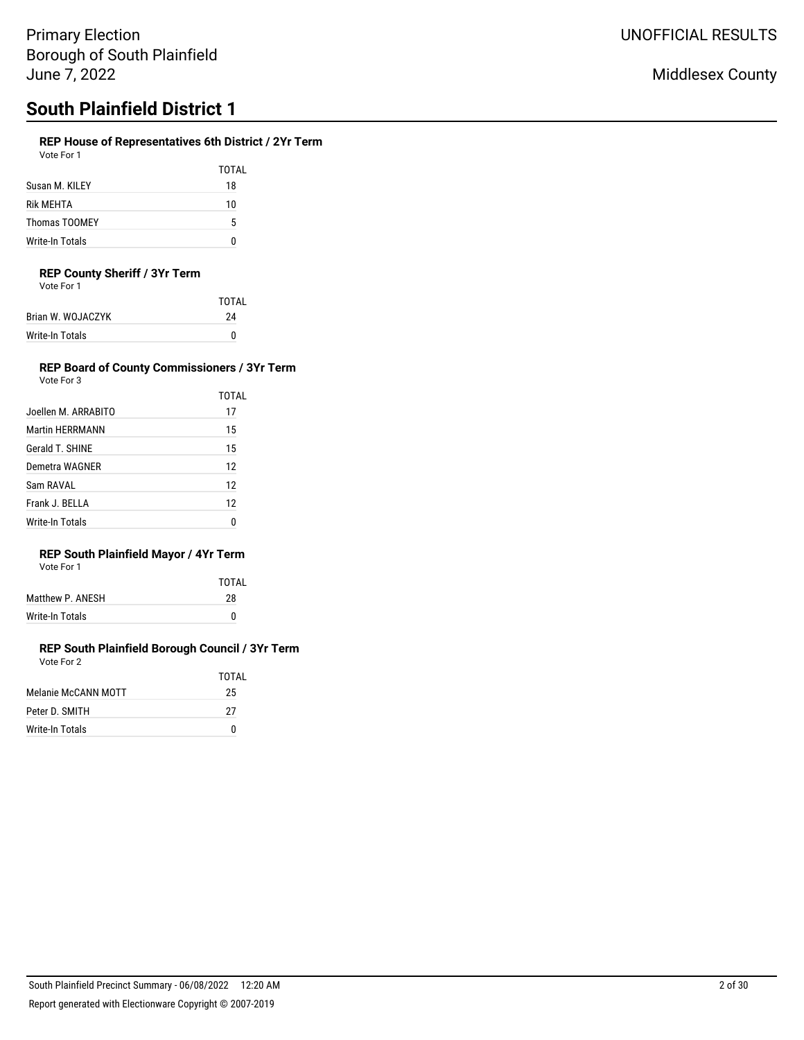## **REP House of Representatives 6th District / 2Yr Term**

Vote For 1

|                      | TOTAL |
|----------------------|-------|
| Susan M. KILEY       | 18    |
| Rik MFHTA            | 10    |
| <b>Thomas TOOMEY</b> | 5     |
| Write-In Totals      |       |

### **REP County Sheriff / 3Yr Term**

Vote For 1

|                   | <b>TOTAL</b> |
|-------------------|--------------|
| Brian W. WOJACZYK | 24           |
| Write-In Totals   | n            |

#### **REP Board of County Commissioners / 3Yr Term** Vote For 3

| Joellen M. ARRABITO    | TOTAL<br>17 |
|------------------------|-------------|
| <b>Martin HERRMANN</b> | 15          |
| Gerald T. SHINE        | 15          |
| Demetra WAGNER         | 12          |
| Sam RAVAL              | 12          |
| Frank J. BELLA         | 12          |
| Write-In Totals        | n           |

## **REP South Plainfield Mayor / 4Yr Term**

| Vote For 1 |  |
|------------|--|
|------------|--|

| TOTAL |
|-------|
| 28    |
| n     |
|       |

#### **REP South Plainfield Borough Council / 3Yr Term** Vote For 2

|                     | TOTAL |
|---------------------|-------|
| Melanie McCANN MOTT | 25    |
| Peter D. SMITH      | 27    |
| Write-In Totals     | n     |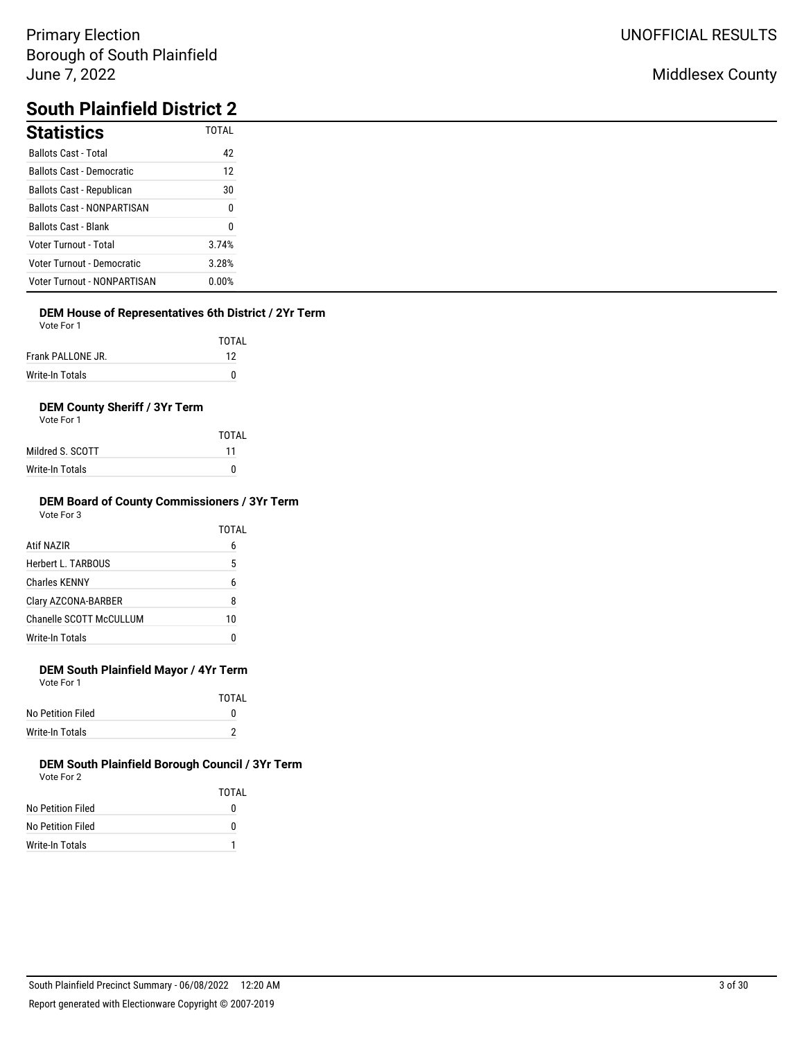## Middlesex County

# **South Plainfield District 2**

| <b>Statistics</b>                  | <b>TOTAL</b> |
|------------------------------------|--------------|
| <b>Ballots Cast - Total</b>        | 42           |
| <b>Ballots Cast - Democratic</b>   | 12           |
| Ballots Cast - Republican          | 30           |
| <b>Ballots Cast - NONPARTISAN</b>  | 0            |
| <b>Ballots Cast - Blank</b>        | 0            |
| <b>Voter Turnout - Total</b>       | 3.74%        |
| Voter Turnout - Democratic         | 3.28%        |
| <b>Voter Turnout - NONPARTISAN</b> | 0.00%        |

## **DEM House of Representatives 6th District / 2Yr Term**

Vote For 1

|                   | TOTAI |
|-------------------|-------|
| Frank PALLONE JR. | 12    |
| Write-In Totals   | n     |

## **DEM County Sheriff / 3Yr Term**

Vote For 1

|                  | TOTAL |
|------------------|-------|
| Mildred S. SCOTT | 11    |
| Write-In Totals  | n     |

#### **DEM Board of County Commissioners / 3Yr Term** Vote For 3

|                         | TOTAL |
|-------------------------|-------|
| Atif NAZIR              | 6     |
| Herbert L. TARBOUS      | 5     |
| <b>Charles KENNY</b>    | 6     |
| Clary AZCONA-BARBER     | 8     |
| Chanelle SCOTT McCULLUM | 10    |
| <b>Write-In Totals</b>  |       |
|                         |       |

## **DEM South Plainfield Mayor / 4Yr Term**

Vote For 1

|                   | TOTAI |
|-------------------|-------|
| No Petition Filed | o     |
| Write-In Totals   |       |

|                   | TOTAI |
|-------------------|-------|
| No Petition Filed | 0     |
| No Petition Filed | 0     |
| Write-In Totals   |       |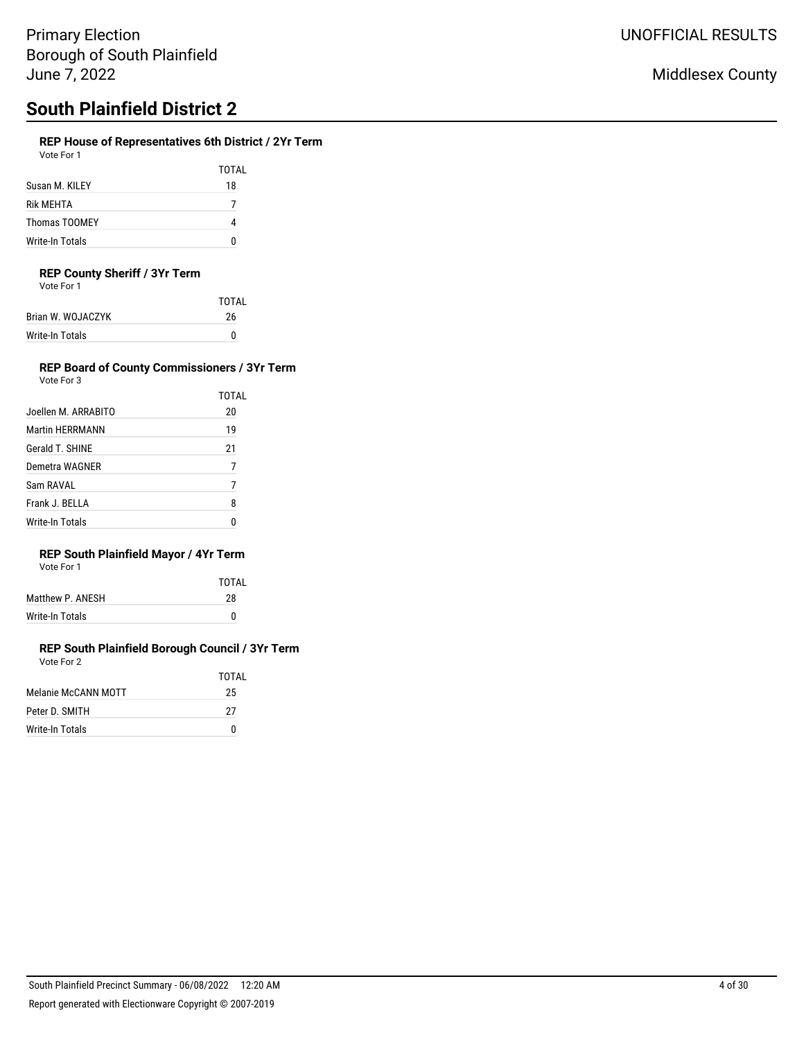## **REP House of Representatives 6th District / 2Yr Term**

| Vote For 1           |       |
|----------------------|-------|
|                      | TOTAL |
| Susan M. KILEY       | 18    |
| <b>Rik MFHTA</b>     |       |
| <b>Thomas TOOMEY</b> |       |

## **REP County Sheriff / 3Yr Term**

Write-In Totals 0

Vote For 1

| <b>TOTAL</b> |
|--------------|
| 26           |
| n            |
|              |

#### **REP Board of County Commissioners / 3Yr Term** Vote For 3

| VOLE FOI 3             |       |
|------------------------|-------|
|                        | TOTAL |
| Joellen M. ARRABITO    | 20    |
| <b>Martin HERRMANN</b> | 19    |
| Gerald T. SHINE        | 21    |
| Demetra WAGNER         | 7     |
| Sam RAVAL              |       |
| Frank J. BELLA         | 8     |
| Write-In Totals        |       |

## **REP South Plainfield Mayor / 4Yr Term**

| Vote For 1 |  |  |
|------------|--|--|
|            |  |  |

|                  | TOTAI |
|------------------|-------|
| Matthew P. ANESH | 28    |
| Write-In Totals  |       |
|                  |       |

#### **REP South Plainfield Borough Council / 3Yr Term** Vote For 2

|                     | TOTAI |
|---------------------|-------|
| Melanie McCANN MOTT | 25    |
| Peter D. SMITH      | 27    |
| Write-In Totals     | n     |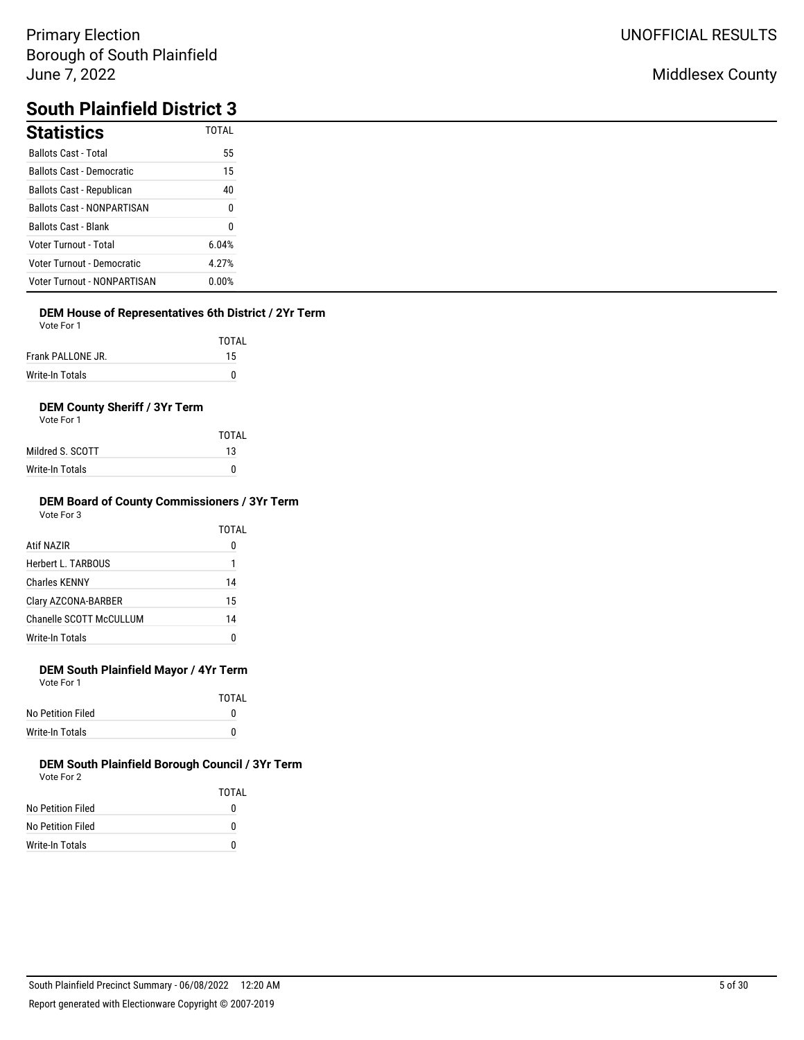## Middlesex County

# **South Plainfield District 3**

| <b>Statistics</b>                  | <b>TOTAL</b>     |
|------------------------------------|------------------|
| <b>Ballots Cast - Total</b>        | 55               |
| <b>Ballots Cast - Democratic</b>   | 15               |
| Ballots Cast - Republican          | 40               |
| <b>Ballots Cast - NONPARTISAN</b>  | $\boldsymbol{0}$ |
| <b>Ballots Cast - Blank</b>        | 0                |
| Voter Turnout - Total              | 6.04%            |
| Voter Turnout - Democratic         | 4.27%            |
| <b>Voter Turnout - NONPARTISAN</b> | 0.00%            |

### **DEM House of Representatives 6th District / 2Yr Term**

Vote For 1

|                   | <b>TOTAL</b> |
|-------------------|--------------|
| Frank PALLONE JR. | 15           |
| Write-In Totals   |              |

## **DEM County Sheriff / 3Yr Term**

Vote For 1

|                  | TOTAI |
|------------------|-------|
| Mildred S. SCOTT | 13    |
| Write-In Totals  | 0     |

#### **DEM Board of County Commissioners / 3Yr Term** Vote For 3

| <u>vuuru v</u>          |       |
|-------------------------|-------|
|                         | TOTAL |
| Atif NAZIR              | 0     |
| Herbert L. TARBOUS      | 1     |
| <b>Charles KENNY</b>    | 14    |
| Clary AZCONA-BARBER     | 15    |
| Chanelle SCOTT McCULLUM | 14    |
| Write-In Totals         | 0     |
|                         |       |

## **DEM South Plainfield Mayor / 4Yr Term**

Vote For 1

|                   | <b>TOTAL</b> |
|-------------------|--------------|
| No Petition Filed | o            |
| Write-In Totals   | n            |

|                   | TOTAI |
|-------------------|-------|
| No Petition Filed | 0     |
| No Petition Filed | O     |
| Write-In Totals   | O     |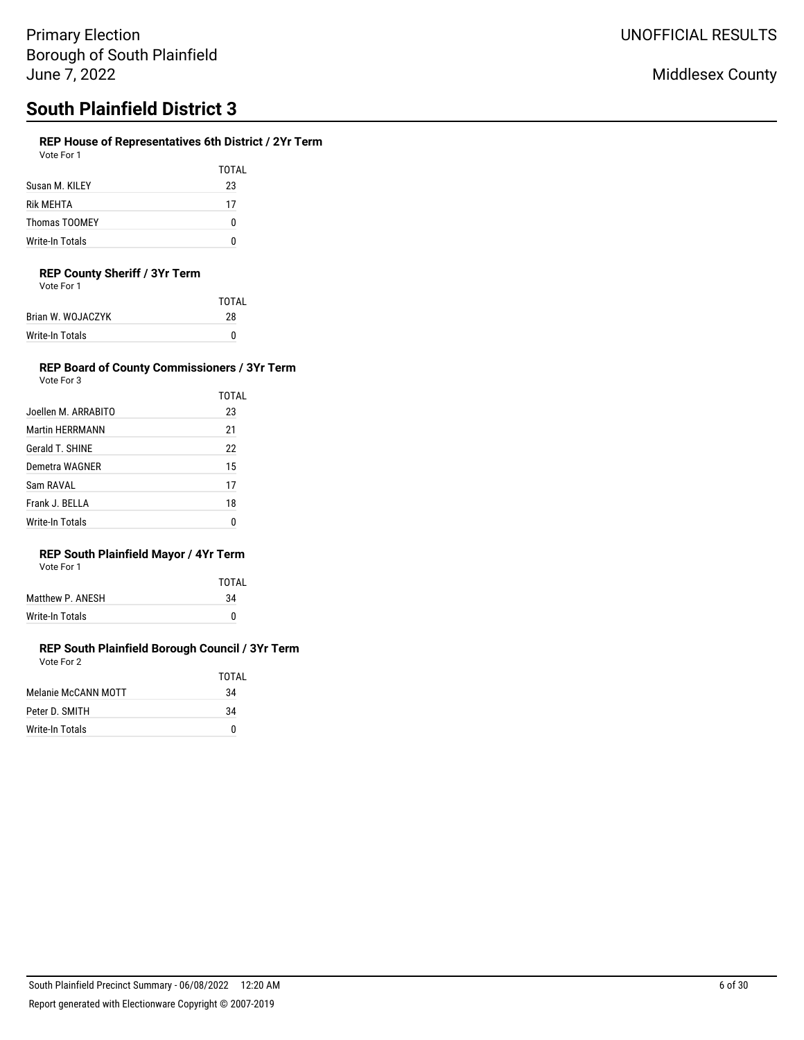## **REP House of Representatives 6th District / 2Yr Term**

Vote For 1

|                  | TOTAL |
|------------------|-------|
| Susan M. KILEY   | 23    |
| <b>Rik MEHTA</b> | 17    |
| Thomas TOOMEY    | 0     |
| Write-In Totals  | n     |

### **REP County Sheriff / 3Yr Term**

Vote For 1

|                   | TOTAI |
|-------------------|-------|
| Brian W. WOJACZYK | 28    |
| Write-In Totals   | n     |
|                   |       |

## **REP Board of County Commissioners / 3Yr Term**

| Vote For 3             |       |
|------------------------|-------|
|                        | TOTAL |
| Joellen M. ARRABITO    | 23    |
| <b>Martin HFRRMANN</b> | 21    |
| Gerald T. SHINE        | 22    |
| Demetra WAGNER         | 15    |
| Sam RAVAI              | 17    |
| Frank J. BELLA         | 18    |
| Write-In Totals        | Λ     |

## **REP South Plainfield Mayor / 4Yr Term**

| Vote For 1 |  |
|------------|--|
|            |  |

|                  | TOTAI |
|------------------|-------|
| Matthew P. ANESH | 34    |
| Write-In Totals  | 0     |
|                  |       |

|                     | TOTAL |
|---------------------|-------|
| Melanie McCANN MOTT | 34    |
|                     |       |
| Peter D. SMITH      | 34    |
| Write-In Totals     | n     |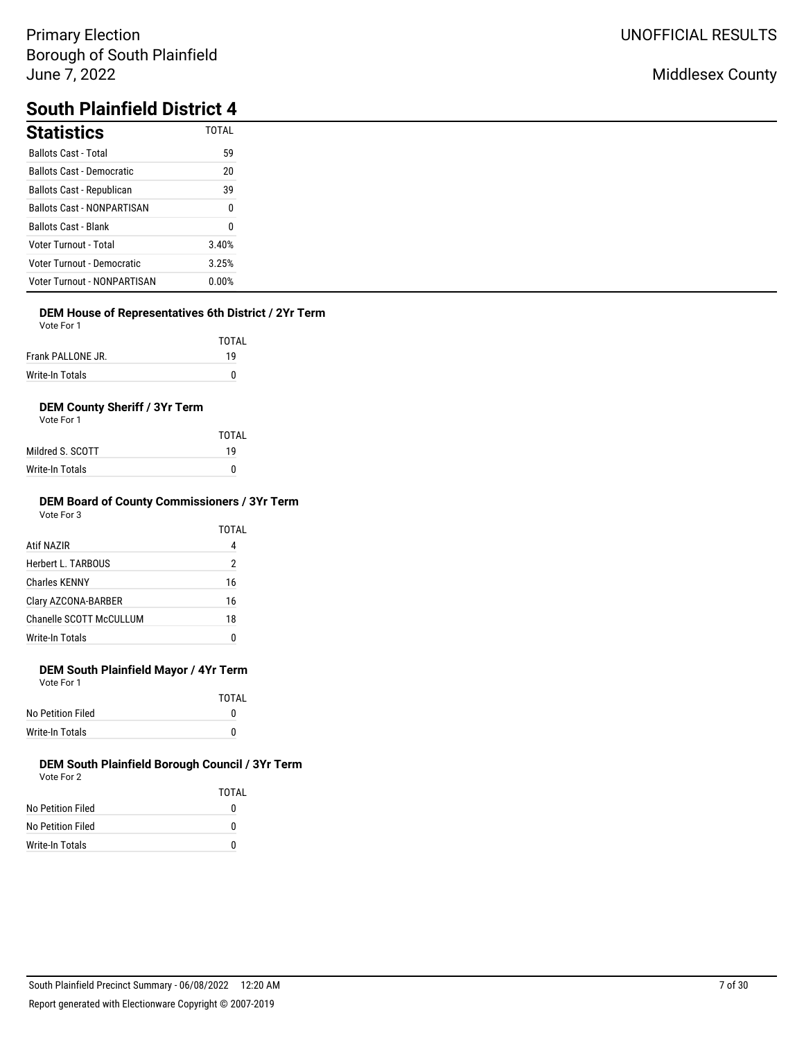## Middlesex County

# **South Plainfield District 4**

| <b>Statistics</b>                  | <b>TOTAL</b> |
|------------------------------------|--------------|
| <b>Ballots Cast - Total</b>        | 59           |
| <b>Ballots Cast - Democratic</b>   | 20           |
| Ballots Cast - Republican          | 39           |
| <b>Ballots Cast - NONPARTISAN</b>  | 0            |
| <b>Ballots Cast - Blank</b>        | 0            |
| Voter Turnout - Total              | 3.40%        |
| Voter Turnout - Democratic         | 3.25%        |
| <b>Voter Turnout - NONPARTISAN</b> | 0.00%        |

### **DEM House of Representatives 6th District / 2Yr Term**

Vote For 1

|                   | TOTAL |
|-------------------|-------|
| Frank PALLONE JR. | 19    |
| Write-In Totals   | U     |

### **DEM County Sheriff / 3Yr Term**

Vote For 1

|                  | TOTAL |
|------------------|-------|
| Mildred S. SCOTT | 19    |
| Write-In Totals  | n     |

#### **DEM Board of County Commissioners / 3Yr Term** Vote For 3

|                         | TOTAL |
|-------------------------|-------|
| Atif NAZIR              | 4     |
| Herbert L. TARBOUS      | 2     |
| <b>Charles KENNY</b>    | 16    |
| Clary AZCONA-BARBER     | 16    |
| Chanelle SCOTT McCULLUM | 18    |
| <b>Write-In Totals</b>  | ſ     |

## **DEM South Plainfield Mayor / 4Yr Term**

Vote For 1

|                   | TOTAI |
|-------------------|-------|
| No Petition Filed | o     |
| Write-In Totals   | o     |

|                   | TOTAI |
|-------------------|-------|
| No Petition Filed | 0     |
| No Petition Filed | O     |
| Write-In Totals   | O     |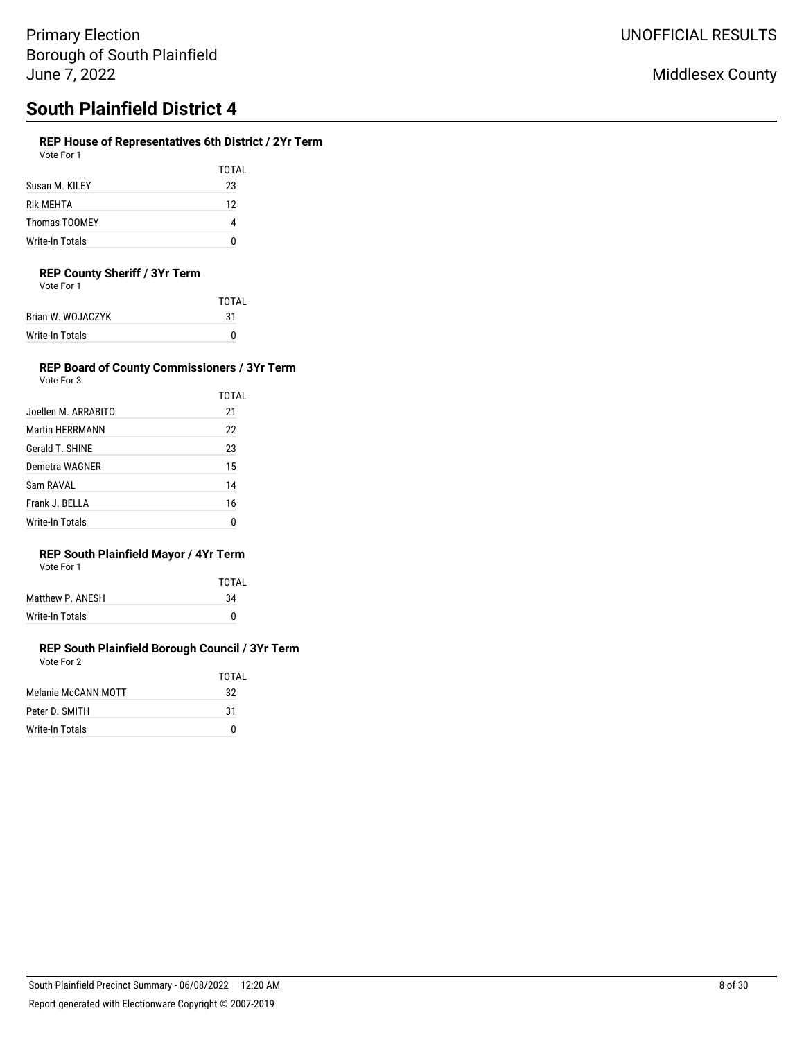## **REP House of Representatives 6th District / 2Yr Term**

Vote For 1

|                 | TOTAL |
|-----------------|-------|
| Susan M. KILEY  | 23    |
| Rik MEHTA       | 12    |
| Thomas TOOMEY   |       |
| Write-In Totals |       |

### **REP County Sheriff / 3Yr Term**

Vote For 1

| TOTAI |
|-------|
|       |
|       |
|       |

#### **REP Board of County Commissioners / 3Yr Term** Vote For 3

|                        | TOTAL |
|------------------------|-------|
| Joellen M. ARRABITO    | 21    |
| <b>Martin HERRMANN</b> | 22    |
| Gerald T. SHINE        | 23    |
| Demetra WAGNER         | 15    |
| Sam RAVAL              | 14    |
| Frank J. BELLA         | 16    |
| <b>Write-In Totals</b> | Ω     |

## **REP South Plainfield Mayor / 4Yr Term**

| Vote For 1 |  |  |
|------------|--|--|
|            |  |  |

|                  | TOTAI |
|------------------|-------|
| Matthew P. ANESH | 34    |
| Write-In Totals  | n     |
|                  |       |

#### **REP South Plainfield Borough Council / 3Yr Term** Vote For 2

|                     | <b>TOTAL</b> |
|---------------------|--------------|
| Melanie McCANN MOTT | 32           |
| Peter D. SMITH      | 31           |
| Write-In Totals     |              |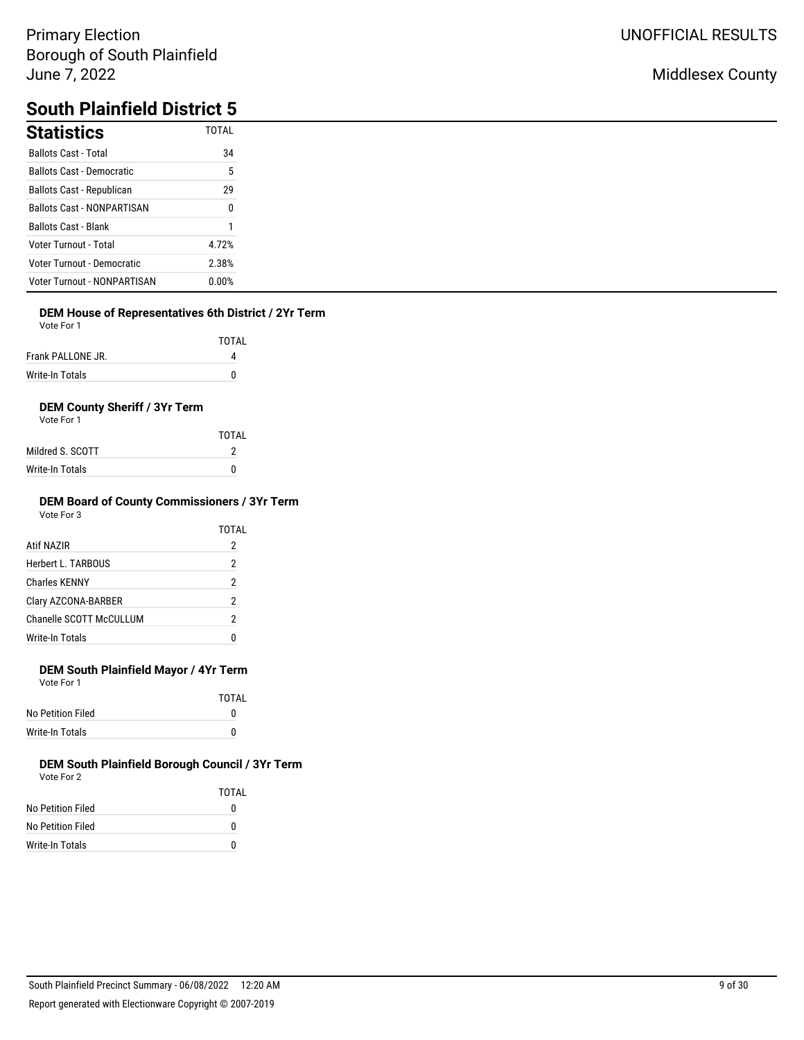## Middlesex County

# **South Plainfield District 5**

| <b>Statistics</b>                  | <b>TOTAL</b> |
|------------------------------------|--------------|
| <b>Ballots Cast - Total</b>        | 34           |
| <b>Ballots Cast - Democratic</b>   | ა            |
| Ballots Cast - Republican          | 29           |
| <b>Ballots Cast - NONPARTISAN</b>  | 0            |
| <b>Ballots Cast - Blank</b>        |              |
| <b>Voter Turnout - Total</b>       | 4.72%        |
| Voter Turnout - Democratic         | 2.38%        |
| <b>Voter Turnout - NONPARTISAN</b> | $0.00\%$     |

## **DEM House of Representatives 6th District / 2Yr Term**

Vote For 1

|                   | TOTAL |
|-------------------|-------|
| Frank PALLONE JR. |       |
| Write-In Totals   |       |

## **DEM County Sheriff / 3Yr Term**

Vote For 1

|                  | TOTAI |
|------------------|-------|
| Mildred S. SCOTT |       |
| Write-In Totals  | n     |

#### **DEM Board of County Commissioners / 3Yr Term** Vote For 3

|                         | TOTAL |
|-------------------------|-------|
| Atif NAZIR              | 2     |
| Herbert L. TARBOUS      | 2     |
| Charles KFNNY           | 2     |
| Clary AZCONA-BARBER     | 2     |
| Chanelle SCOTT McCULLUM | 2     |
| Write-In Totals         |       |
|                         |       |

## **DEM South Plainfield Mayor / 4Yr Term**

Vote For 1

|                   | <b>TOTAL</b> |
|-------------------|--------------|
| No Petition Filed |              |
| Write-In Totals   |              |

|                   | TOTAI |
|-------------------|-------|
| No Petition Filed | 0     |
| No Petition Filed | 0     |
| Write-In Totals   | 0     |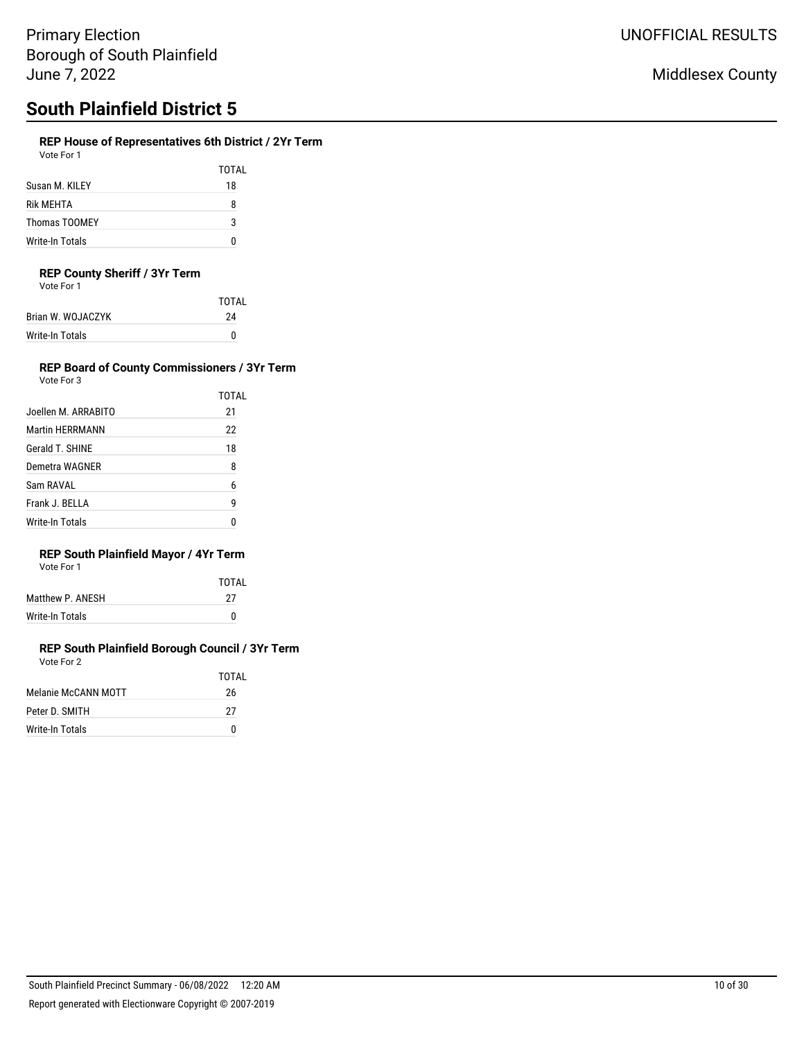## **REP House of Representatives 6th District / 2Yr Term**

| Vote For 1 |  |  |  |
|------------|--|--|--|
|------------|--|--|--|

TOTAL Susan M. KILEY 18 Rik MEHTA 8 Thomas TOOMEY 3 Write-In Totals 0

### **REP County Sheriff / 3Yr Term**

| Vote For 1 |
|------------|
|------------|

|                   | <b>TOTAL</b> |
|-------------------|--------------|
| Brian W. WOJACZYK | 24           |
| Write-In Totals   | n            |

## **REP Board of County Commissioners / 3Yr Term**

| Vote For 3             |       |
|------------------------|-------|
|                        | TOTAL |
| Joellen M. ARRABITO    | 21    |
| <b>Martin HFRRMANN</b> | 22    |
| Gerald T. SHINE        | 18    |
| Demetra WAGNER         | 8     |
| Sam RAVAI              | 6     |
| Frank J. BELLA         | g     |
| Write-In Totals        |       |

## **REP South Plainfield Mayor / 4Yr Term**

| Vote For 1 |  |
|------------|--|
|            |  |

|                  | TOTAI |
|------------------|-------|
| Matthew P. ANESH | 27    |
| Write-In Totals  | 0     |

|                     | TOTAI |
|---------------------|-------|
| Melanie McCANN MOTT | 26    |
| Peter D. SMITH      | 27    |
| Write-In Totals     | n     |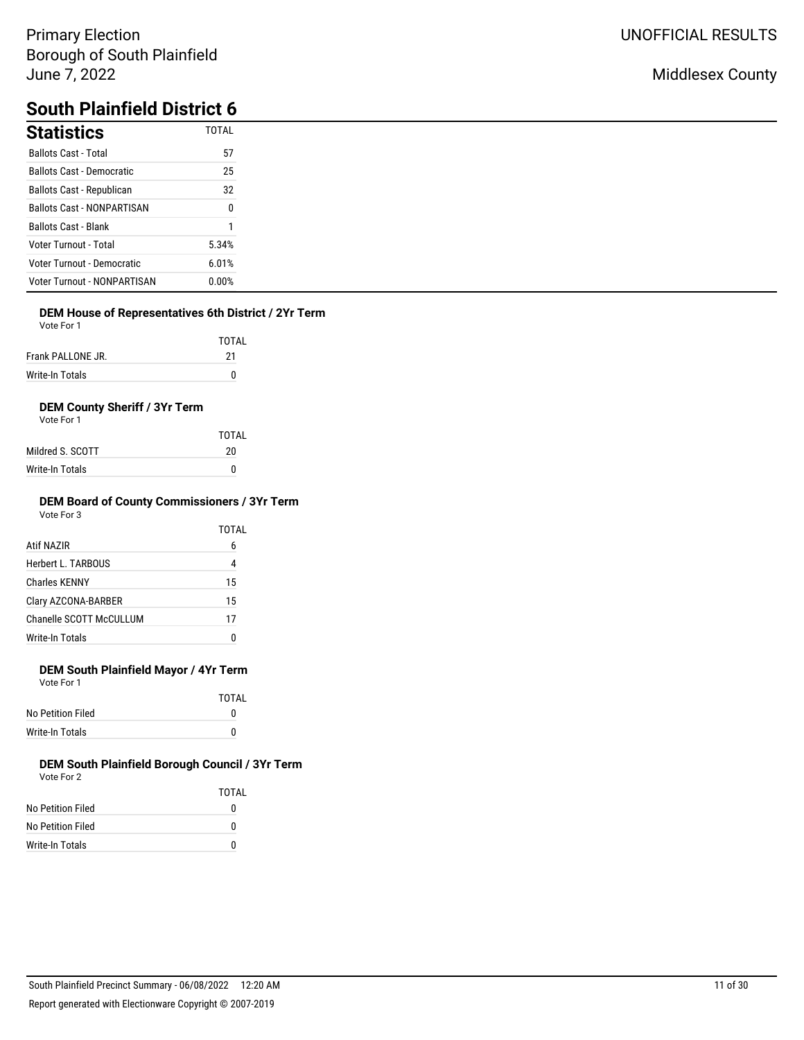## Middlesex County

# **South Plainfield District 6**

| <b>Statistics</b>                  | <b>TOTAL</b>     |
|------------------------------------|------------------|
| <b>Ballots Cast - Total</b>        | 57               |
| <b>Ballots Cast - Democratic</b>   | 25               |
| Ballots Cast - Republican          | 32               |
| <b>Ballots Cast - NONPARTISAN</b>  | $\boldsymbol{0}$ |
| <b>Ballots Cast - Blank</b>        |                  |
| <b>Voter Turnout - Total</b>       | 5.34%            |
| Voter Turnout - Democratic         | 6.01%            |
| <b>Voter Turnout - NONPARTISAN</b> | 0.00%            |

## **DEM House of Representatives 6th District / 2Yr Term**

Vote For 1

|                   | TOTAL |
|-------------------|-------|
| Frank PALLONE JR. | 21    |
| Write-In Totals   | n     |

## **DEM County Sheriff / 3Yr Term**

Vote For 1

|                  | TOTAL |
|------------------|-------|
| Mildred S. SCOTT | 20    |
| Write-In Totals  | 0     |

#### **DEM Board of County Commissioners / 3Yr Term** Vote For 3

|                         | TOTAL |
|-------------------------|-------|
| Atif NAZIR              | 6     |
| Herbert L. TARBOUS      | 4     |
| <b>Charles KENNY</b>    | 15    |
| Clary AZCONA-BARBER     | 15    |
| Chanelle SCOTT McCULLUM | 17    |
| Write-In Totals         | ſ     |

## **DEM South Plainfield Mayor / 4Yr Term**

Vote For 1

|                   | TOTAI |
|-------------------|-------|
| No Petition Filed |       |
| Write-In Totals   |       |

|                   | TOTAI |
|-------------------|-------|
| No Petition Filed | 0     |
| No Petition Filed | O     |
| Write-In Totals   | O     |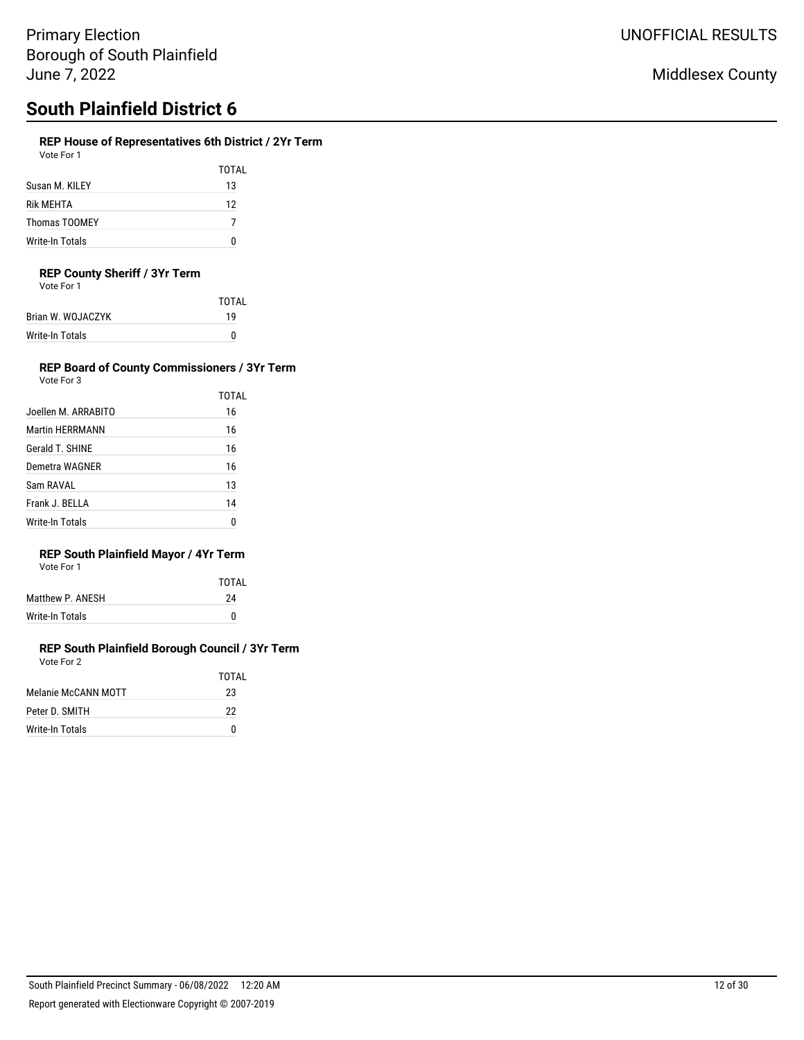## **REP House of Representatives 6th District / 2Yr Term**

Vote For 1

|                      | TOTAL |
|----------------------|-------|
| Susan M. KILEY       | 13    |
| <b>Rik MFHTA</b>     | 12    |
| <b>Thomas TOOMEY</b> |       |
| Write-In Totals      |       |

### **REP County Sheriff / 3Yr Term**

Vote For 1

| TOTAI |
|-------|
| 19    |
| n     |
|       |

#### **REP Board of County Commissioners / 3Yr Term** Vote For 3

| Joellen M. ARRABITO    | TOTAL<br>16 |
|------------------------|-------------|
| <b>Martin HERRMANN</b> | 16          |
| Gerald T. SHINE        | 16          |
| Demetra WAGNER         | 16          |
| Sam RAVAL              | 13          |
| Frank J. BELLA         | 14          |
| Write-In Totals        | n           |

## **REP South Plainfield Mayor / 4Yr Term**

|  | Vote For 1 |  |  |
|--|------------|--|--|
|--|------------|--|--|

|                  | TOTAL |
|------------------|-------|
| Matthew P. ANESH | 24    |
| Write-In Totals  | n     |

#### **REP South Plainfield Borough Council / 3Yr Term** Vote For 2

|                     | TOTAI |
|---------------------|-------|
| Melanie McCANN MOTT | 23    |
| Peter D. SMITH      | 22    |
| Write-In Totals     | N     |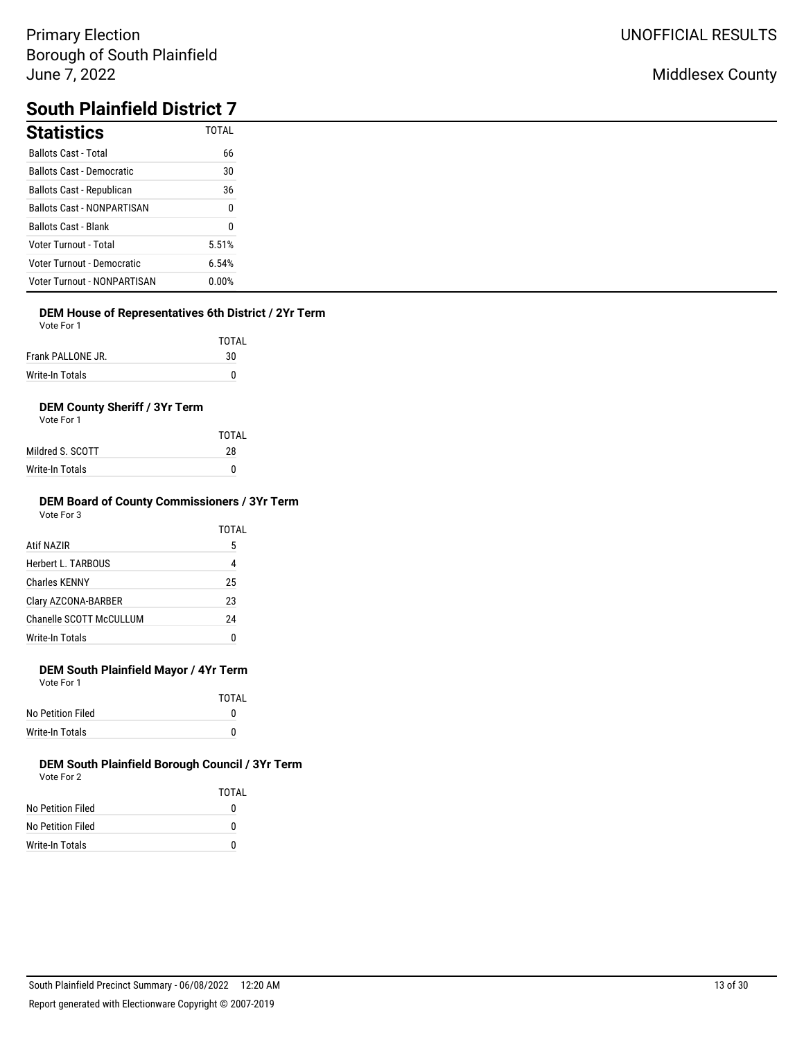## Middlesex County

# **South Plainfield District 7**

| <b>Statistics</b>                  | <b>TOTAL</b> |
|------------------------------------|--------------|
| <b>Ballots Cast - Total</b>        | 66           |
| <b>Ballots Cast - Democratic</b>   | 30           |
| Ballots Cast - Republican          | 36           |
| <b>Ballots Cast - NONPARTISAN</b>  | 0            |
| <b>Ballots Cast - Blank</b>        | 0            |
| Voter Turnout - Total              | 5.51%        |
| Voter Turnout - Democratic         | 6.54%        |
| <b>Voter Turnout - NONPARTISAN</b> | 0.00%        |

## **DEM House of Representatives 6th District / 2Yr Term**

Vote For 1

|                   | TOTAL |
|-------------------|-------|
| Frank PALLONE JR. | 30    |
| Write-In Totals   | n     |

### **DEM County Sheriff / 3Yr Term**

Vote For 1

|                  | TOTAI |
|------------------|-------|
| Mildred S. SCOTT | 28    |
| Write-In Totals  | n     |

#### **DEM Board of County Commissioners / 3Yr Term** Vote For 3

|                         | TOTAL |
|-------------------------|-------|
| Atif NAZIR              | 5     |
| Herbert L. TARBOUS      | 4     |
| <b>Charles KENNY</b>    | 25    |
| Clary AZCONA-BARBER     | 23    |
| Chanelle SCOTT McCULLUM | 24    |
| <b>Write-In Totals</b>  | ſ     |

## **DEM South Plainfield Mayor / 4Yr Term**

Vote For 1

|                   | TOTAI |
|-------------------|-------|
| No Petition Filed |       |
| Write-In Totals   |       |

|                   | TOTAI |
|-------------------|-------|
| No Petition Filed | 0     |
| No Petition Filed | O     |
| Write-In Totals   | O     |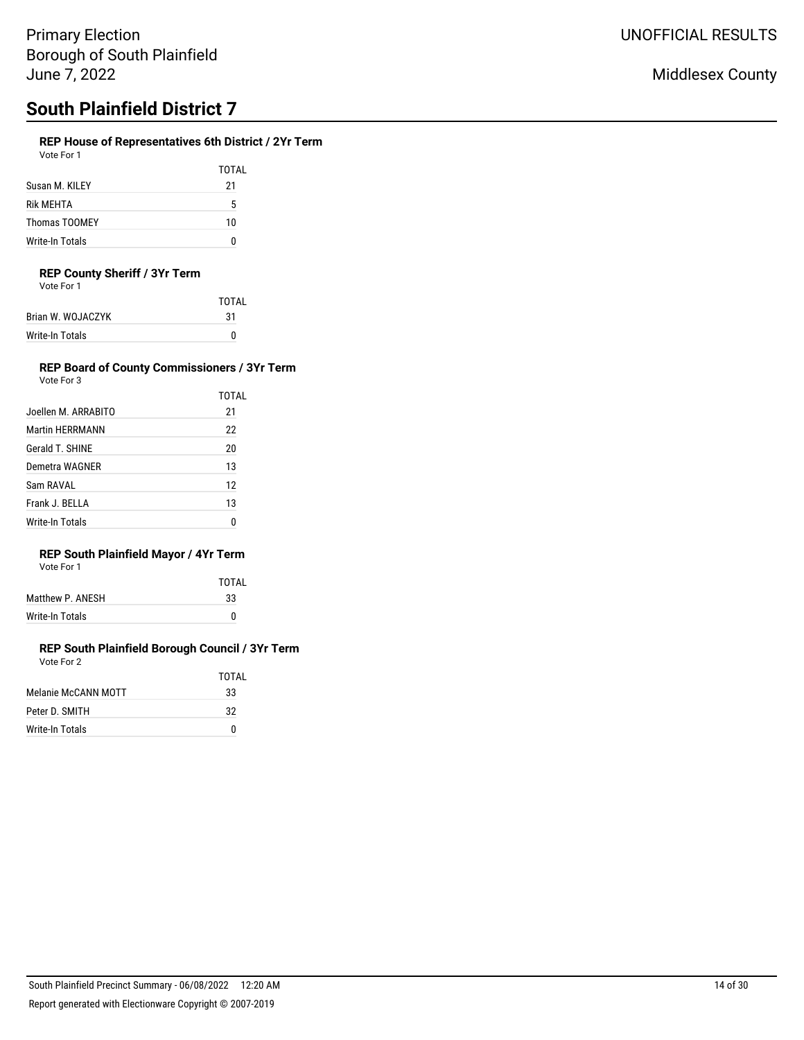## **REP House of Representatives 6th District / 2Yr Term**

| Vote For 1 |  |
|------------|--|
|            |  |

|                 | TOTAL |
|-----------------|-------|
| Susan M. KILEY  | 21    |
| Rik MEHTA       | 5     |
| Thomas TOOMEY   | 10    |
| Write-In Totals | n     |

### **REP County Sheriff / 3Yr Term**

Vote For 1

|                   | TOTAI |
|-------------------|-------|
| Brian W. WOJACZYK | 31    |
| Write-In Totals   |       |

#### **REP Board of County Commissioners / 3Yr Term** Vote For 3

| Joellen M. ARRABITO | TOTAL<br>21 |
|---------------------|-------------|
| Martin HERRMANN     | 22          |
| Gerald T. SHINE     | 20          |
| Demetra WAGNER      | 13          |
| Sam RAVAL           | 12          |
| Frank J. BELLA      | 13          |
| Write-In Totals     |             |

## **REP South Plainfield Mayor / 4Yr Term**

| Vote For |  |
|----------|--|
|          |  |

|                  | TOTAI |
|------------------|-------|
| Matthew P. ANESH | 33    |
| Write-In Totals  |       |

#### **REP South Plainfield Borough Council / 3Yr Term** Vote For 2

|                     | TOTAI |
|---------------------|-------|
| Melanie McCANN MOTT | 33    |
| Peter D. SMITH      | 32    |
| Write-In Totals     | n     |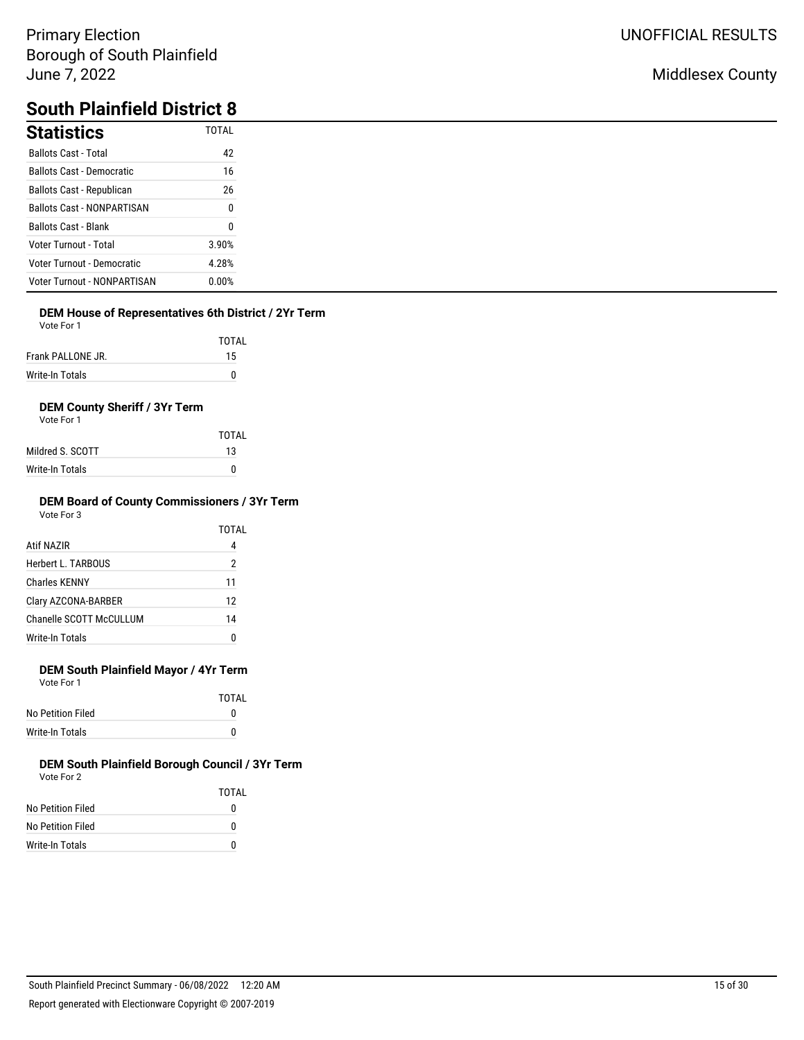## Middlesex County

# **South Plainfield District 8**

| <b>Statistics</b>                  | <b>TOTAL</b> |
|------------------------------------|--------------|
| <b>Ballots Cast - Total</b>        | 42           |
| <b>Ballots Cast - Democratic</b>   | 16           |
| Ballots Cast - Republican          | 26           |
| <b>Ballots Cast - NONPARTISAN</b>  | 0            |
| <b>Ballots Cast - Blank</b>        | 0            |
| <b>Voter Turnout - Total</b>       | 3.90%        |
| Voter Turnout - Democratic         | 4.28%        |
| <b>Voter Turnout - NONPARTISAN</b> | 0.00%        |

### **DEM House of Representatives 6th District / 2Yr Term**

Vote For 1

|                   | <b>TOTAL</b> |
|-------------------|--------------|
| Frank PALLONE JR. | 15           |
| Write-In Totals   |              |

## **DEM County Sheriff / 3Yr Term**

Vote For 1

|                  | TOTAI |
|------------------|-------|
| Mildred S. SCOTT | 13    |
| Write-In Totals  | 0     |

#### **DEM Board of County Commissioners / 3Yr Term** Vote For 3

| <u>vuuru v</u>          | TOTAL |
|-------------------------|-------|
| Atif NAZIR              | 4     |
| Herbert L. TARBOUS      | 2     |
| <b>Charles KENNY</b>    | 11    |
| Clary AZCONA-BARBER     | 12    |
| Chanelle SCOTT McCULLUM | 14    |
| <b>Write-In Totals</b>  | 0     |

## **DEM South Plainfield Mayor / 4Yr Term**

Vote For 1

|                   | TOTAI |
|-------------------|-------|
| No Petition Filed | o     |
| Write-In Totals   | o     |

|                   | TOTAI |
|-------------------|-------|
| No Petition Filed | 0     |
| No Petition Filed | O     |
| Write-In Totals   | O     |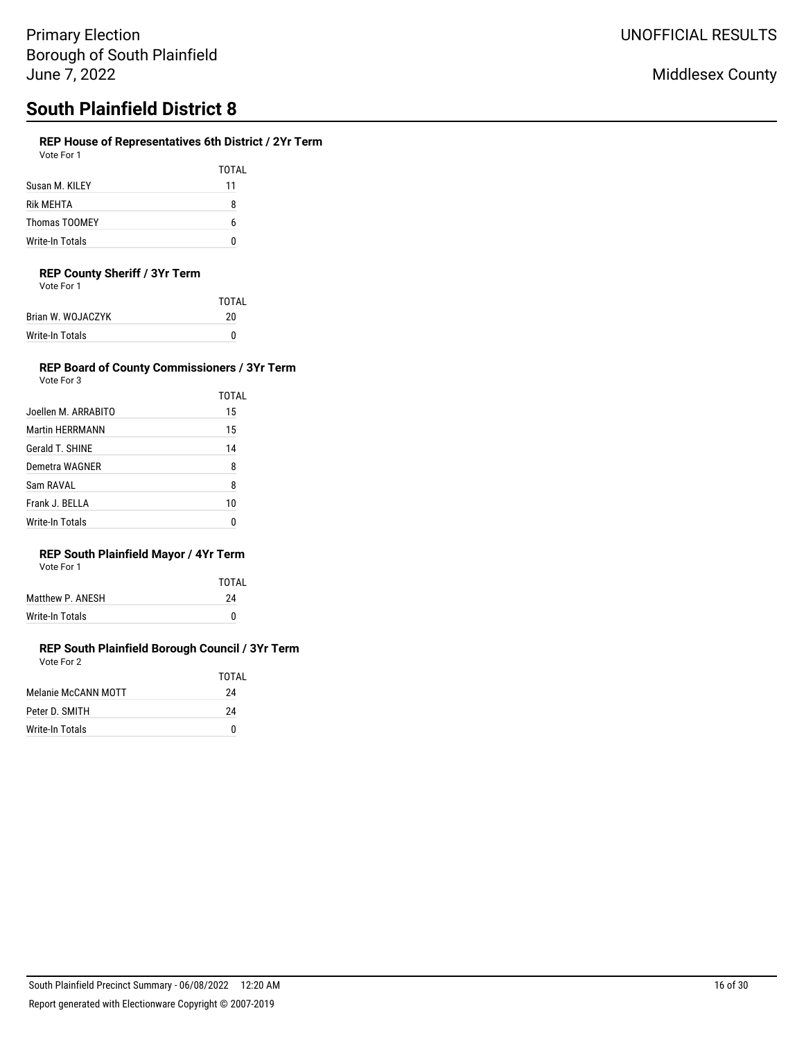## **REP House of Representatives 6th District / 2Yr Term**

Vote For 1

|                      | TOTAL |
|----------------------|-------|
| Susan M. KII FY      | 11    |
| Rik MFHTA            | 8     |
| <b>Thomas TOOMEY</b> | h     |
| Write-In Totals      |       |

### **REP County Sheriff / 3Yr Term**

Vote For 1

|                   | TOTAI |
|-------------------|-------|
| Brian W. WOJACZYK | 20    |
| Write-In Totals   | n     |
|                   |       |

## **REP Board of County Commissioners / 3Yr Term**

| Vote For 3             |       |
|------------------------|-------|
|                        | TOTAL |
| Joellen M. ARRABITO    | 15    |
| <b>Martin HERRMANN</b> | 15    |
| Gerald T. SHINE        | 14    |
| Demetra WAGNER         | 8     |
| Sam RAVAI              | 8     |
| Frank J. BFIIA         | 10    |
| Write-In Totals        |       |

## **REP South Plainfield Mayor / 4Yr Term**

| Vote For 1 |  |
|------------|--|
|            |  |

|                  | TOTAI |
|------------------|-------|
| Matthew P. ANESH | 24    |
| Write-In Totals  | 0     |
|                  |       |

|                     | TOTAL |
|---------------------|-------|
| Melanie McCANN MOTT | 24    |
| Peter D. SMITH      | 24    |
| Write-In Totals     | n     |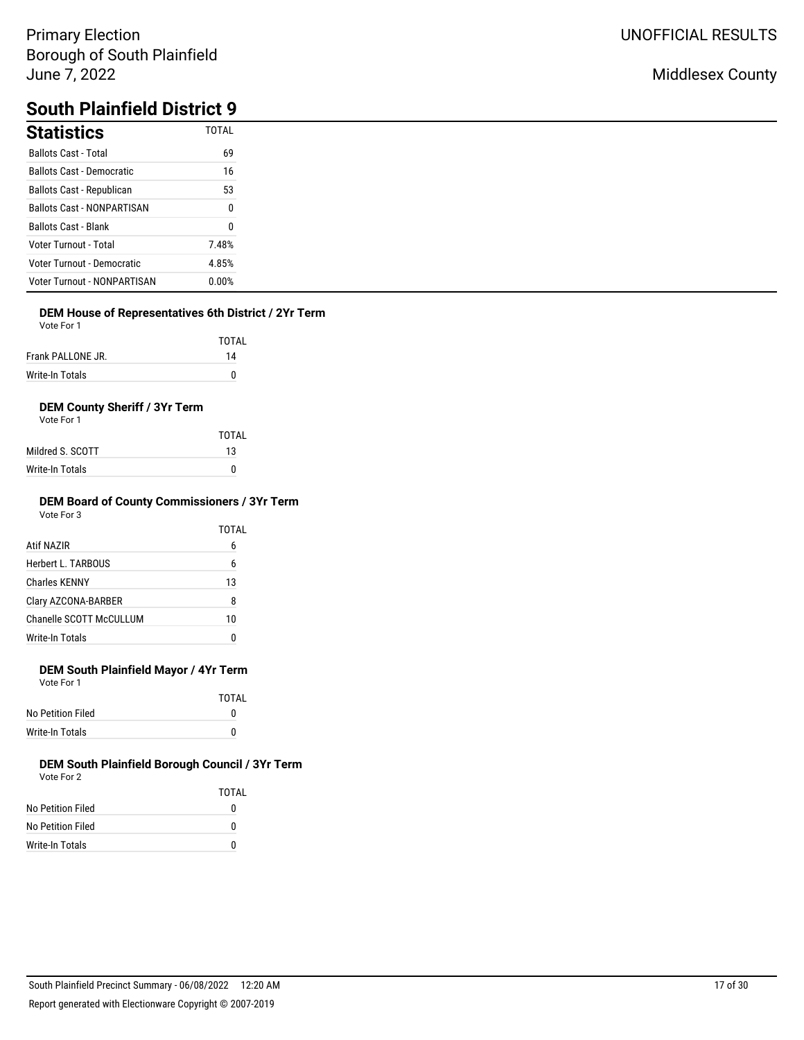## Middlesex County

# **South Plainfield District 9**

| <b>Statistics</b>                  | <b>TOTAL</b> |
|------------------------------------|--------------|
| <b>Ballots Cast - Total</b>        | 69           |
| <b>Ballots Cast - Democratic</b>   | 16           |
| Ballots Cast - Republican          | 53           |
| <b>Ballots Cast - NONPARTISAN</b>  | 0            |
| <b>Ballots Cast - Blank</b>        | 0            |
| Voter Turnout - Total              | 7.48%        |
| Voter Turnout - Democratic         | 4.85%        |
| <b>Voter Turnout - NONPARTISAN</b> | 0.00%        |

### **DEM House of Representatives 6th District / 2Yr Term**

Vote For 1

|                   | TOTAL |
|-------------------|-------|
| Frank PALLONE JR. | 14    |
| Write-In Totals   | n     |

### **DEM County Sheriff / 3Yr Term**

Vote For 1

|                  | TOTAL |
|------------------|-------|
| Mildred S. SCOTT | 13    |
| Write-In Totals  | n     |

#### **DEM Board of County Commissioners / 3Yr Term** Vote For 3

|                         | TOTAL |
|-------------------------|-------|
| Atif NAZIR              | 6     |
| Herbert L. TARBOUS      | 6     |
| <b>Charles KENNY</b>    | 13    |
| Clary AZCONA-BARBER     | 8     |
| Chanelle SCOTT McCULLUM | 10    |
| Write-In Totals         | O     |
|                         |       |

## **DEM South Plainfield Mayor / 4Yr Term**

Vote For 1

|                   | TOTAI |
|-------------------|-------|
| No Petition Filed |       |
| Write-In Totals   |       |

|                   | TOTAI |
|-------------------|-------|
| No Petition Filed | 0     |
| No Petition Filed | O     |
| Write-In Totals   | O     |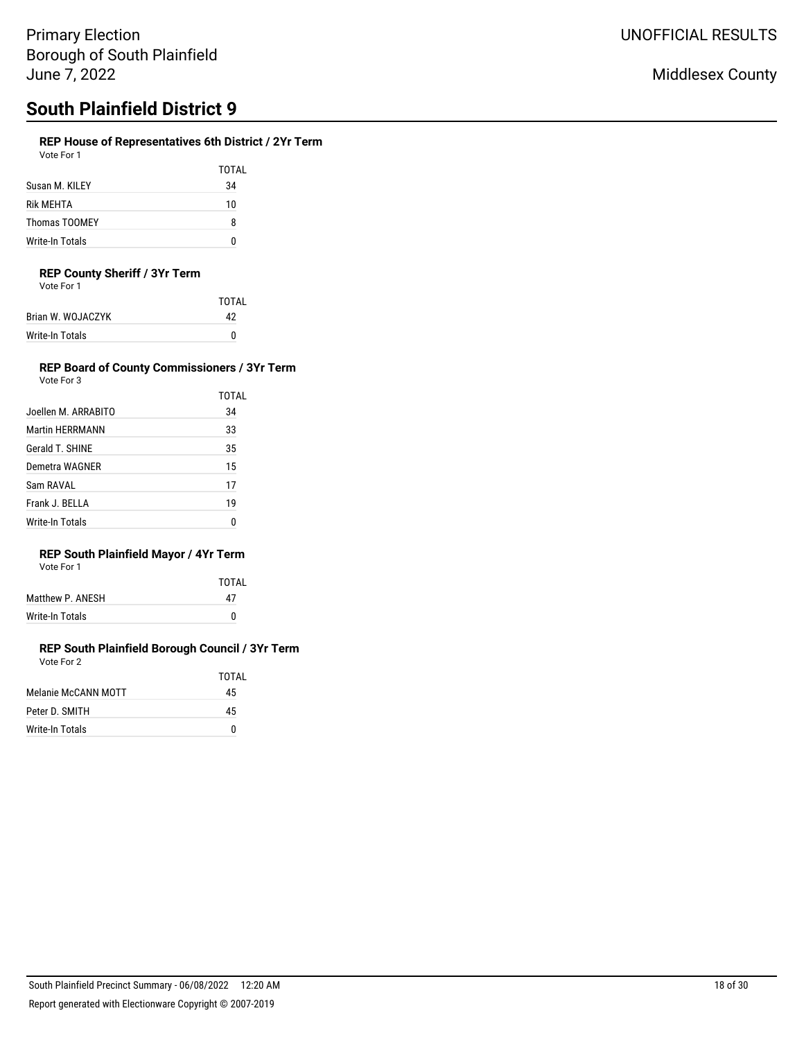## **REP House of Representatives 6th District / 2Yr Term**

Vote For 1

|                 | TOTAL |
|-----------------|-------|
| Susan M. KILEY  | 34    |
| Rik MEHTA       | 10    |
| Thomas TOOMEY   | 8     |
| Write-In Totals |       |

### **REP County Sheriff / 3Yr Term**

Vote For 1

| <b>TOTAL</b> |
|--------------|
| 42           |
| n            |
|              |

#### **REP Board of County Commissioners / 3Yr Term** Vote For 3

|                        | TOTAL |
|------------------------|-------|
| Joellen M. ARRABITO    | 34    |
| <b>Martin HERRMANN</b> | 33    |
| Gerald T. SHINE        | 35    |
| Demetra WAGNER         | 15    |
| Sam RAVAL              | 17    |
| Frank J. BELLA         | 19    |
| Write-In Totals        | n     |

## **REP South Plainfield Mayor / 4Yr Term**

| Vote For 1 |  |
|------------|--|
|            |  |

|                  | TOTAI |
|------------------|-------|
| Matthew P. ANESH | 47    |
| Write-In Totals  |       |
|                  |       |

#### **REP South Plainfield Borough Council / 3Yr Term** Vote For 2

|                     | TOTAI |
|---------------------|-------|
| Melanie McCANN MOTT | 45    |
| Peter D. SMITH      | 45    |
| Write-In Totals     | n     |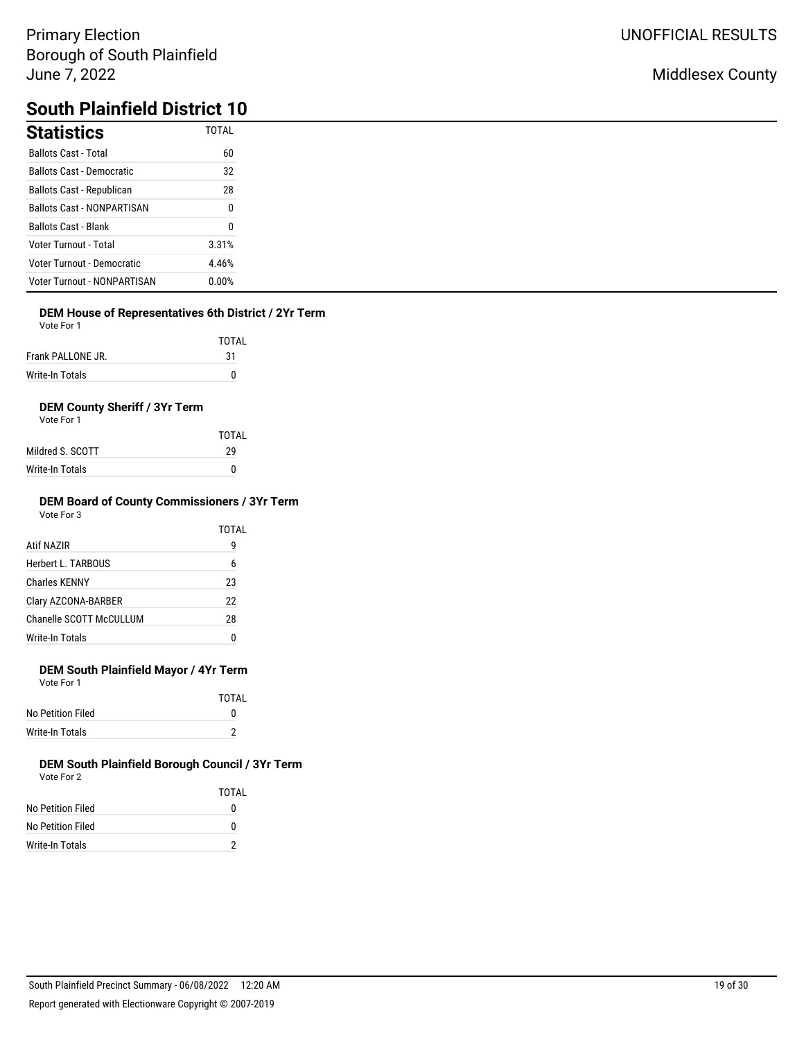## Middlesex County

# **South Plainfield District 10**

| <b>Statistics</b>                  | <b>TOTAL</b> |
|------------------------------------|--------------|
| <b>Ballots Cast - Total</b>        | 60           |
| <b>Ballots Cast - Democratic</b>   | 32           |
| Ballots Cast - Republican          | 28           |
| <b>Ballots Cast - NONPARTISAN</b>  | 0            |
| <b>Ballots Cast - Blank</b>        | 0            |
| <b>Voter Turnout - Total</b>       | 3.31%        |
| Voter Turnout - Democratic         | 4.46%        |
| <b>Voter Turnout - NONPARTISAN</b> | 0.00%        |

## **DEM House of Representatives 6th District / 2Yr Term**

Vote For 1

| .              |        |
|----------------|--------|
|                | TOTAL  |
| $\blacksquare$ | $\sim$ |

| Frank PALLONE JR. |  |
|-------------------|--|
| Write-In Totals   |  |

## **DEM County Sheriff / 3Yr Term**

Vote For 1

|                  | TOTAI |
|------------------|-------|
| Mildred S. SCOTT | 29    |
| Write-In Totals  | n     |

#### **DEM Board of County Commissioners / 3Yr Term** Vote For 3

| vuut Ful J              |       |
|-------------------------|-------|
|                         | TOTAL |
| Atif NAZIR              | g     |
| Herbert L. TARBOUS      | 6     |
| <b>Charles KENNY</b>    | 23    |
| Clary AZCONA-BARBER     | 22    |
| Chanelle SCOTT McCULLUM | 28    |
| Write-In Totals         | ſ     |
|                         |       |

## **DEM South Plainfield Mayor / 4Yr Term**

Vote For 1

|                   | <b>TOTAL</b> |
|-------------------|--------------|
| No Petition Filed | o            |
| Write-In Totals   |              |

|                   | TOTAL |
|-------------------|-------|
| No Petition Filed | o     |
| No Petition Filed | n     |
| Write-In Totals   |       |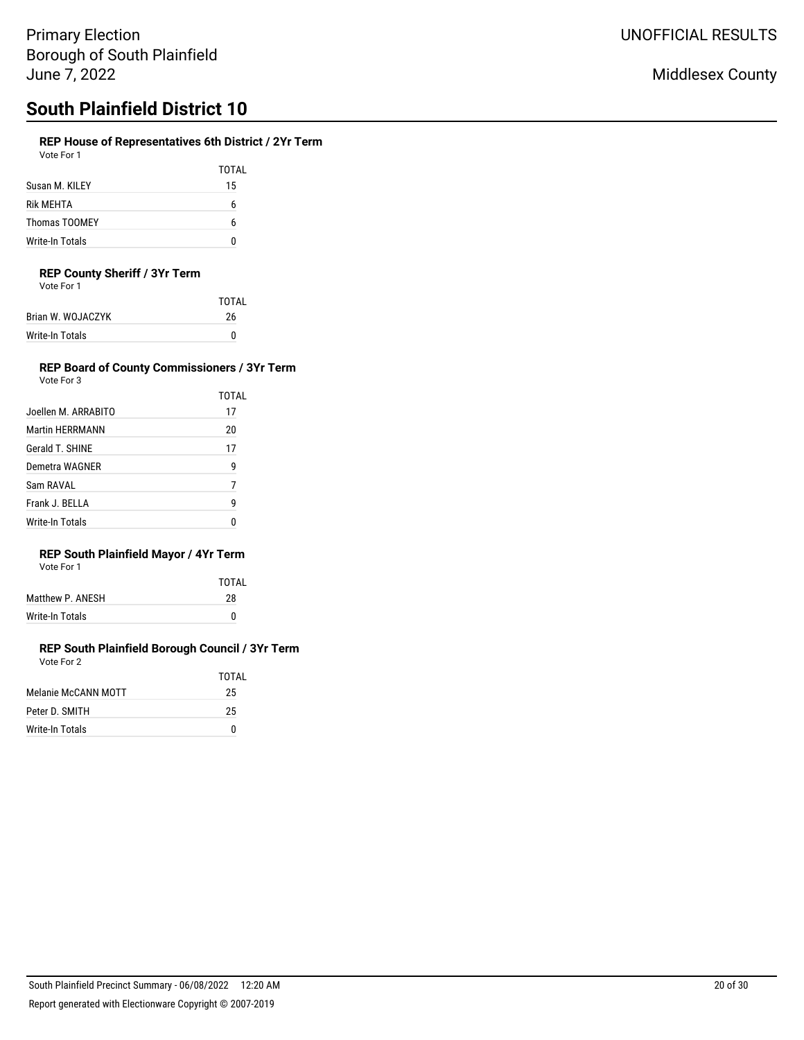# **South Plainfield District 10**

### **REP House of Representatives 6th District / 2Yr Term**

| Vote For 1 |  |
|------------|--|
|            |  |

TOTAL Susan M. KILEY 15 Rik MEHTA 6 Thomas TOOMEY 6 Write-In Totals 0

## **REP County Sheriff / 3Yr Term**

Vote For 1

| TOTAI |
|-------|
| 26    |
|       |
|       |

#### **REP Board of County Commissioners / 3Yr Term** Vote For 3

TOTAL

| v∪ue ⊓∪i J |  |  |  |
|------------|--|--|--|
|            |  |  |  |
|            |  |  |  |
|            |  |  |  |

|                     | IUIAL |
|---------------------|-------|
| Joellen M. ARRABITO | 17    |
| Martin HERRMANN     | 20    |
| Gerald T. SHINE     | 17    |
| Demetra WAGNER      | g     |
| Sam RAVAL           | 7     |
| Frank J. BELLA      | 9     |
| Write-In Totals     |       |

## **REP South Plainfield Mayor / 4Yr Term**

| Vote For 1 |
|------------|
|------------|

|                  | TOTAI |
|------------------|-------|
| Matthew P. ANESH | 28    |
| Write-In Totals  | n     |

|                     | TOTAI |
|---------------------|-------|
| Melanie McCANN MOTT | 25    |
| Peter D. SMITH      | 25    |
| Write-In Totals     | n     |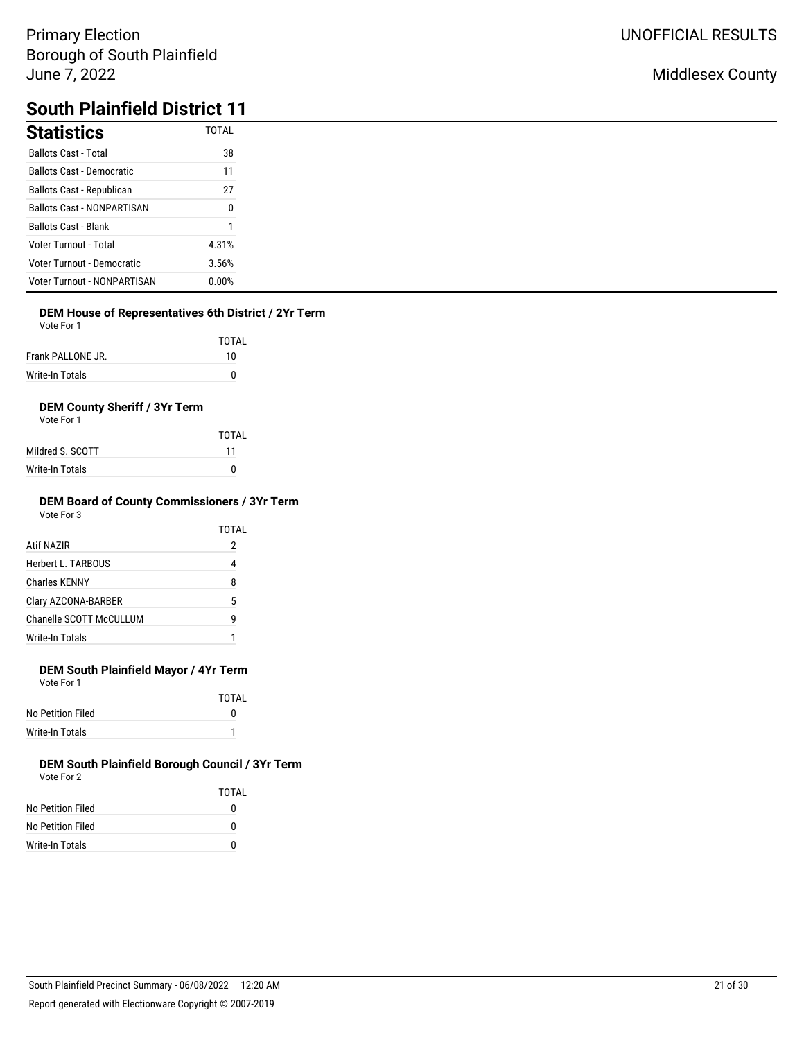# **South Plainfield District 11**

| <b>Statistics</b>                  | <b>TOTAL</b> |
|------------------------------------|--------------|
| <b>Ballots Cast - Total</b>        | 38           |
| <b>Ballots Cast - Democratic</b>   | 11           |
| <b>Ballots Cast - Republican</b>   | 27           |
| <b>Ballots Cast - NONPARTISAN</b>  | 0            |
| <b>Ballots Cast - Blank</b>        |              |
| Voter Turnout - Total              | 4.31%        |
| Voter Turnout - Democratic         | 3.56%        |
| <b>Voter Turnout - NONPARTISAN</b> | 0.00%        |

## **DEM House of Representatives 6th District / 2Yr Term**

| Vote For 1 |  |
|------------|--|
|            |  |

|                   | <b>TOTAL</b> |
|-------------------|--------------|
| Frank PALLONE JR. | 10           |
| Write-In Totals   |              |

## **DEM County Sheriff / 3Yr Term**

| Vote For 1 |  |
|------------|--|
|            |  |

|                  | TOTAI |
|------------------|-------|
| Mildred S. SCOTT | 11    |
| Write-In Totals  | n     |

#### **DEM Board of County Commissioners / 3Yr Term** Vote For 3

|                         | TOTAL |
|-------------------------|-------|
| Atif NAZIR              | 2     |
| Herbert L. TARBOUS      | 4     |
| <b>Charles KENNY</b>    | 8     |
| Clary AZCONA-BARBER     | 5     |
| Chanelle SCOTT McCULLUM | q     |
| Write-In Totals         |       |

## **DEM South Plainfield Mayor / 4Yr Term**

Vote For 1

|                   | TOTAI |
|-------------------|-------|
| No Petition Filed |       |
| Write-In Totals   |       |

|                   | TOTAI |
|-------------------|-------|
| No Petition Filed | 0     |
| No Petition Filed | 0     |
| Write-In Totals   | 0     |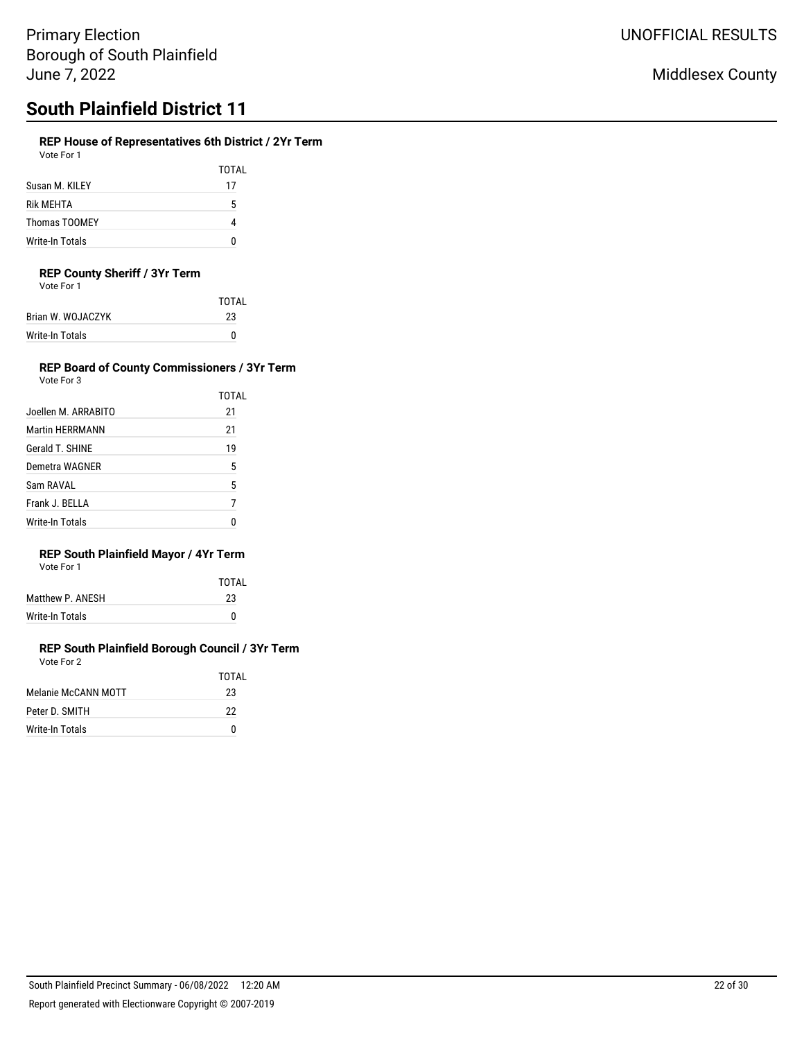## **REP House of Representatives 6th District / 2Yr Term**

| Vote For 1 |  |
|------------|--|
|            |  |

TOTAL Susan M. KILEY 17 Rik MEHTA 5 Thomas TOOMEY 4 Write-In Totals 0

## **REP County Sheriff / 3Yr Term**

| Vote For 1 |  |  |
|------------|--|--|
|            |  |  |

|                   | TOTAI |
|-------------------|-------|
| Brian W. WOJACZYK | 23    |
| Write-In Totals   | n     |
|                   |       |

#### **REP Board of County Commissioners / 3Yr Term** Vote For 3

| Vote For 3             |                |
|------------------------|----------------|
|                        | TOTAL          |
| Joellen M. ARRABITO    | 21             |
| <b>Martin HFRRMANN</b> | 21             |
| Gerald T. SHINE        | 19             |
| Demetra WAGNER         | 5              |
| Sam RAVAI              | 5              |
| Frank J. BELLA         | $\overline{7}$ |
| <b>Write-In Totals</b> |                |

#### **REP South Plainfield Mayor / 4Yr Term** Vote For 1

| Vote For 1 |  |
|------------|--|
|            |  |
|            |  |

|                  | TOTAL |
|------------------|-------|
| Matthew P. ANESH | 23    |
| Write-In Totals  | 0     |
|                  |       |

#### **REP South Plainfield Borough Council / 3Yr Term** Vote For 2

|                     | TOTAL |
|---------------------|-------|
| Melanie McCANN MOTT | 23    |
| Peter D. SMITH      | 22    |
| Write-In Totals     | n     |
|                     |       |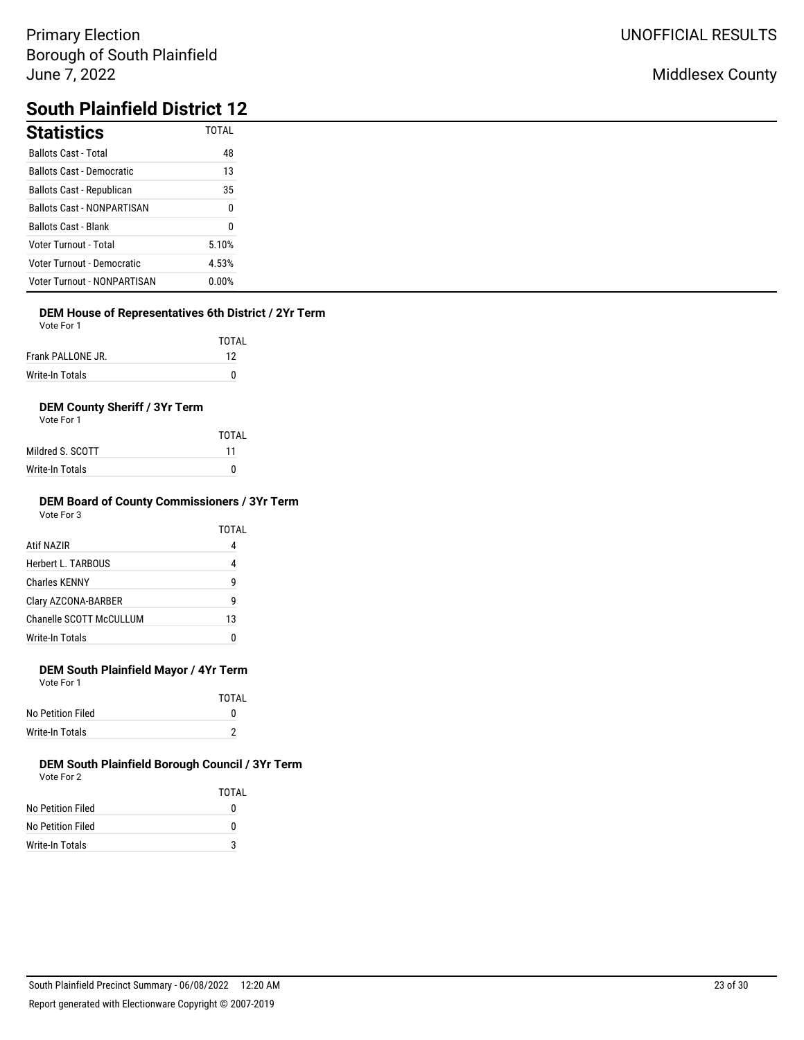## Middlesex County

# **South Plainfield District 12**

| <b>Statistics</b>                  | <b>TOTAL</b> |
|------------------------------------|--------------|
| <b>Ballots Cast - Total</b>        | 48           |
| <b>Ballots Cast - Democratic</b>   | 13           |
| Ballots Cast - Republican          | 35           |
| <b>Ballots Cast - NONPARTISAN</b>  | 0            |
| <b>Ballots Cast - Blank</b>        | 0            |
| <b>Voter Turnout - Total</b>       | 5.10%        |
| Voter Turnout - Democratic         | 4.53%        |
| <b>Voter Turnout - NONPARTISAN</b> | $0.00\%$     |

## **DEM House of Representatives 6th District / 2Yr Term**

| Vote For 1 |  |
|------------|--|
|------------|--|

|                   | TOTAL |
|-------------------|-------|
| Frank PALLONE JR. | 12    |
| Write-In Totals   |       |

## **DEM County Sheriff / 3Yr Term**

| Vote For 1 |  |
|------------|--|
|            |  |

|                  | TOTAI |
|------------------|-------|
| Mildred S. SCOTT | 11    |
| Write-In Totals  | n     |

#### **DEM Board of County Commissioners / 3Yr Term** Vote For 3

|                         | TOTAL |
|-------------------------|-------|
| Atif NAZIR              | 4     |
| Herbert L. TARBOUS      | 4     |
| <b>Charles KENNY</b>    | 9     |
| Clary AZCONA-BARBER     | q     |
| Chanelle SCOTT McCULLUM | 13    |
| <b>Write-In Totals</b>  |       |

## **DEM South Plainfield Mayor / 4Yr Term**

Vote For 1

|                   | TOTAI |
|-------------------|-------|
| No Petition Filed | o     |
| Write-In Totals   |       |

|                   | TOTAI |
|-------------------|-------|
| No Petition Filed | 0     |
| No Petition Filed | 0     |
| Write-In Totals   | 3     |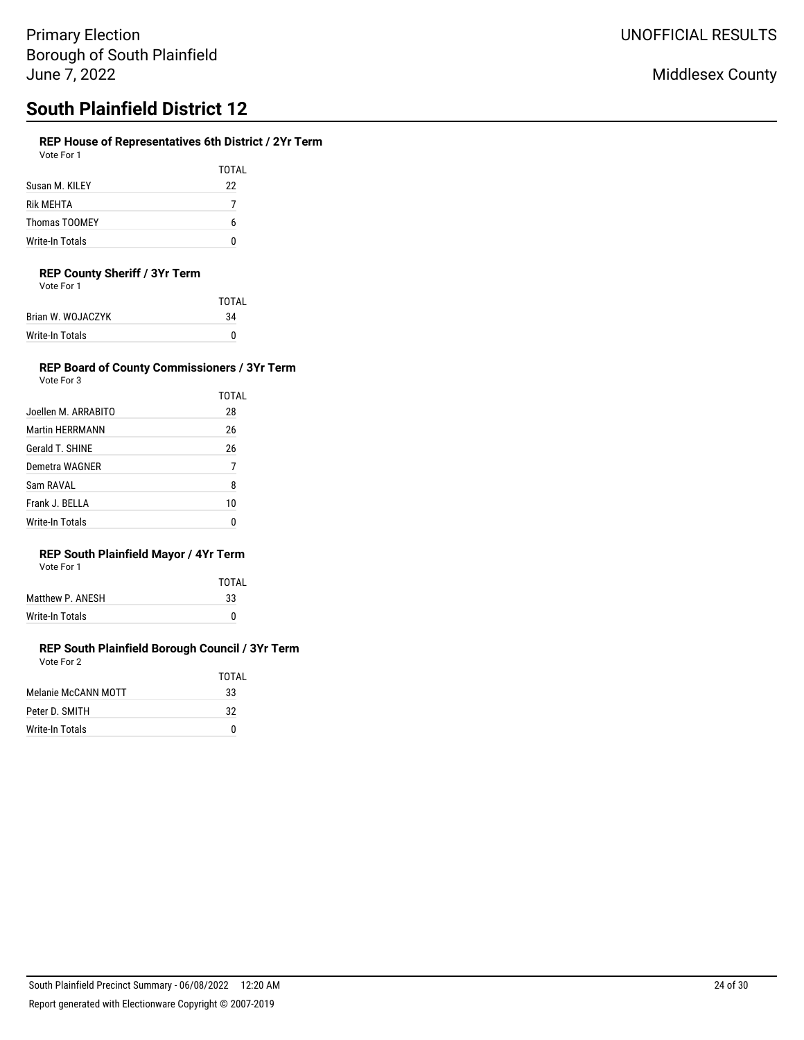# **South Plainfield District 12**

## **REP House of Representatives 6th District / 2Yr Term**

| Vote For 1 |  |
|------------|--|
|            |  |

TOTAL Susan M. KILEY 22 Rik MEHTA 7 Thomas TOOMEY 6 Write-In Totals 0

### **REP County Sheriff / 3Yr Term**

| Vote For 1 |  |
|------------|--|
|            |  |

|                   | TOTAI |
|-------------------|-------|
| Brian W. WOJACZYK | 34    |
| Write-In Totals   | o     |

#### **REP Board of County Commissioners / 3Yr Term** Vote For 3

TOTAL

|                     | <b>TOT</b> |
|---------------------|------------|
| Joellen M. ARRABITO | 28         |

| Martin HERRMANN | 26 |
|-----------------|----|
| Gerald T. SHINE | 26 |
| Demetra WAGNER  |    |
| Sam RAVAL       | 8  |
| Frank J. BELLA  | 10 |
| Write-In Totals | N  |

## **REP South Plainfield Mayor / 4Yr Term**

| Vote For 1 |  |
|------------|--|
|            |  |

|                  | TOTAL |
|------------------|-------|
| Matthew P. ANESH | 33    |
| Write-In Totals  | n     |

|                     | TOTAL |
|---------------------|-------|
| Melanie McCANN MOTT | 33    |
| Peter D. SMITH      | 32    |
| Write-In Totals     |       |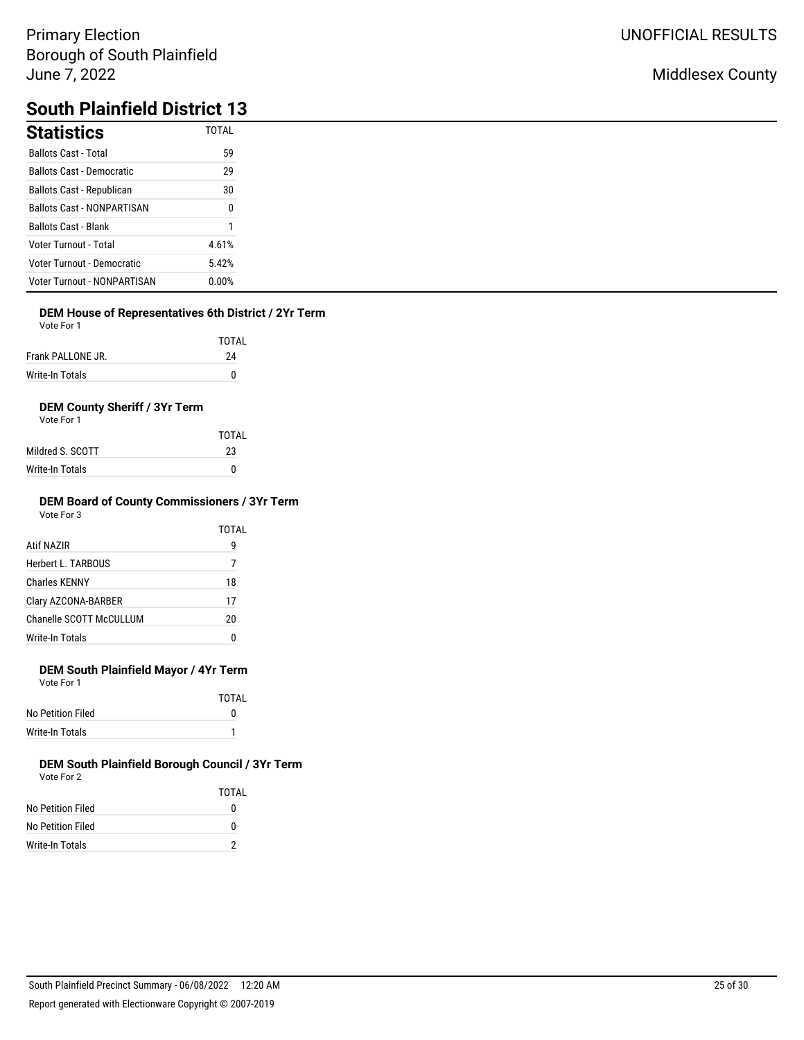## Middlesex County

# **South Plainfield District 13**

| <b>Statistics</b>                  | <b>TOTAL</b> |
|------------------------------------|--------------|
| <b>Ballots Cast - Total</b>        | 59           |
| <b>Ballots Cast - Democratic</b>   | 29           |
| Ballots Cast - Republican          | 30           |
| <b>Ballots Cast - NONPARTISAN</b>  | 0            |
| <b>Ballots Cast - Blank</b>        |              |
| <b>Voter Turnout - Total</b>       | 4.61%        |
| Voter Turnout - Democratic         | 5.42%        |
| <b>Voter Turnout - NONPARTISAN</b> | 0.00%        |

## **DEM House of Representatives 6th District / 2Yr Term**

Vote For 1

|                   | TOTAL |
|-------------------|-------|
| Frank PALLONE JR. | 24    |
| Write-In Totals   | n     |

## **DEM County Sheriff / 3Yr Term**

Vote For 1

|                  | TOTAI |
|------------------|-------|
| Mildred S. SCOTT | 23    |
| Write-In Totals  | 0     |

#### **DEM Board of County Commissioners / 3Yr Term** Vote For 3

| <u>vuuru v</u>          | TOTAL |
|-------------------------|-------|
| Atif NAZIR              | 9     |
| Herbert L. TARBOUS      | 7     |
| Charles KFNNY           | 18    |
| Clary AZCONA-BARBER     | 17    |
| Chanelle SCOTT McCULLUM | 20    |
| Write-In Totals         | 0     |

## **DEM South Plainfield Mayor / 4Yr Term**

Vote For 1

|                   | TOTAI |
|-------------------|-------|
| No Petition Filed | o     |
| Write-In Totals   |       |

|                   | TOTAI |
|-------------------|-------|
| No Petition Filed | 0     |
| No Petition Filed | 0     |
| Write-In Totals   | 2     |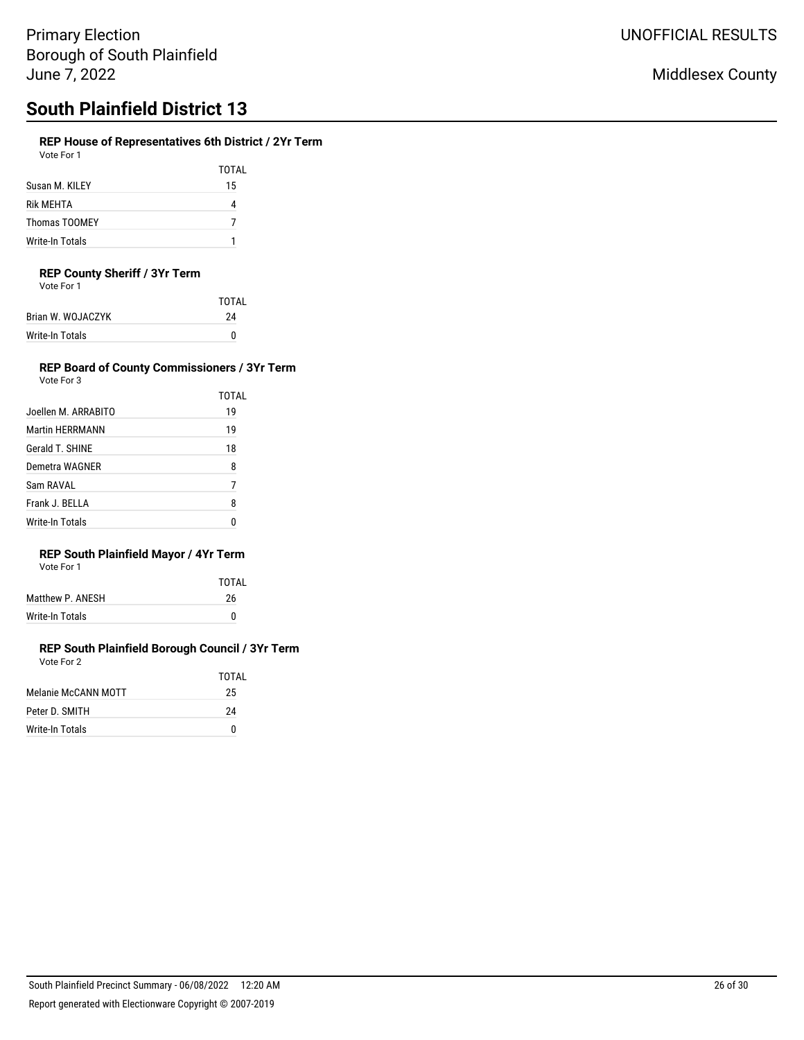# **South Plainfield District 13**

### **REP House of Representatives 6th District / 2Yr Term**

TOTAL Susan M. KILEY 15 Rik MEHTA 4 Thomas TOOMEY 7 Write-In Totals 1

### **REP County Sheriff / 3Yr Term**

Vote For 1

| TOTAI |
|-------|
| 24    |
|       |
|       |

#### **REP Board of County Commissioners / 3Yr Term** Vote For 3

**TOTAL** 

|  | v∪ue ⊓∪i J |  |
|--|------------|--|
|  |            |  |
|  |            |  |
|  |            |  |

|                     | 1 U I A L |
|---------------------|-----------|
| Joellen M. ARRABITO | 19        |
| Martin HERRMANN     | 19        |
| Gerald T. SHINE     | 18        |
| Demetra WAGNER      | 8         |
| Sam RAVAL           | 7         |
| Frank J. BELLA      | 8         |
| Write-In Totals     |           |

## **REP South Plainfield Mayor / 4Yr Term**

| Vote For 1 |
|------------|
|------------|

|                  | TOTAI |
|------------------|-------|
| Matthew P. ANESH | 26    |
| Write-In Totals  | n     |

|                     | TOTAI |
|---------------------|-------|
| Melanie McCANN MOTT | 25    |
| Peter D. SMITH      | 24    |
| Write-In Totals     | n     |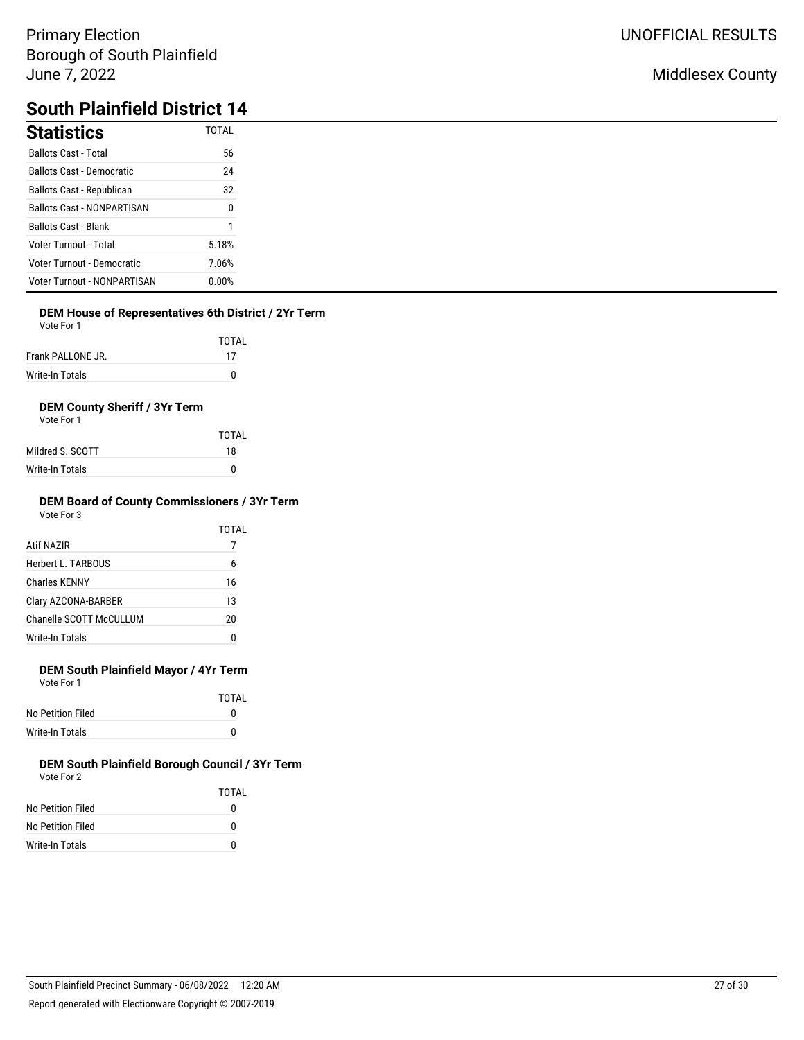## Middlesex County

# **South Plainfield District 14**

| <b>Statistics</b>                  | <b>TOTAL</b> |
|------------------------------------|--------------|
| <b>Ballots Cast - Total</b>        | 56           |
| <b>Ballots Cast - Democratic</b>   | 24           |
| Ballots Cast - Republican          | 32           |
| <b>Ballots Cast - NONPARTISAN</b>  | 0            |
| <b>Ballots Cast - Blank</b>        |              |
| <b>Voter Turnout - Total</b>       | 5.18%        |
| Voter Turnout - Democratic         | 7.06%        |
| <b>Voter Turnout - NONPARTISAN</b> | 0.00%        |

## **DEM House of Representatives 6th District / 2Yr Term**

Vote For 1

|                   | TOTAI |
|-------------------|-------|
| Frank PALLONE JR. | 17    |
| Write-In Totals   |       |

## **DEM County Sheriff / 3Yr Term**

Vote For 1

|                  | TOTAL |
|------------------|-------|
| Mildred S. SCOTT | 18    |
| Write-In Totals  | 0     |

#### **DEM Board of County Commissioners / 3Yr Term** Vote For 3

|                         | TOTAL |
|-------------------------|-------|
| Atif NAZIR              |       |
| Herbert L. TARBOUS      | 6     |
| <b>Charles KENNY</b>    | 16    |
| Clary AZCONA-BARBER     | 13    |
| Chanelle SCOTT McCULLUM | 20    |
| Write-In Totals         | 0     |

## **DEM South Plainfield Mayor / 4Yr Term**

Vote For 1

|                   | TOTAI |
|-------------------|-------|
| No Petition Filed |       |
| Write-In Totals   |       |

|                   | TOTAI |
|-------------------|-------|
| No Petition Filed | 0     |
| No Petition Filed | O     |
| Write-In Totals   | O     |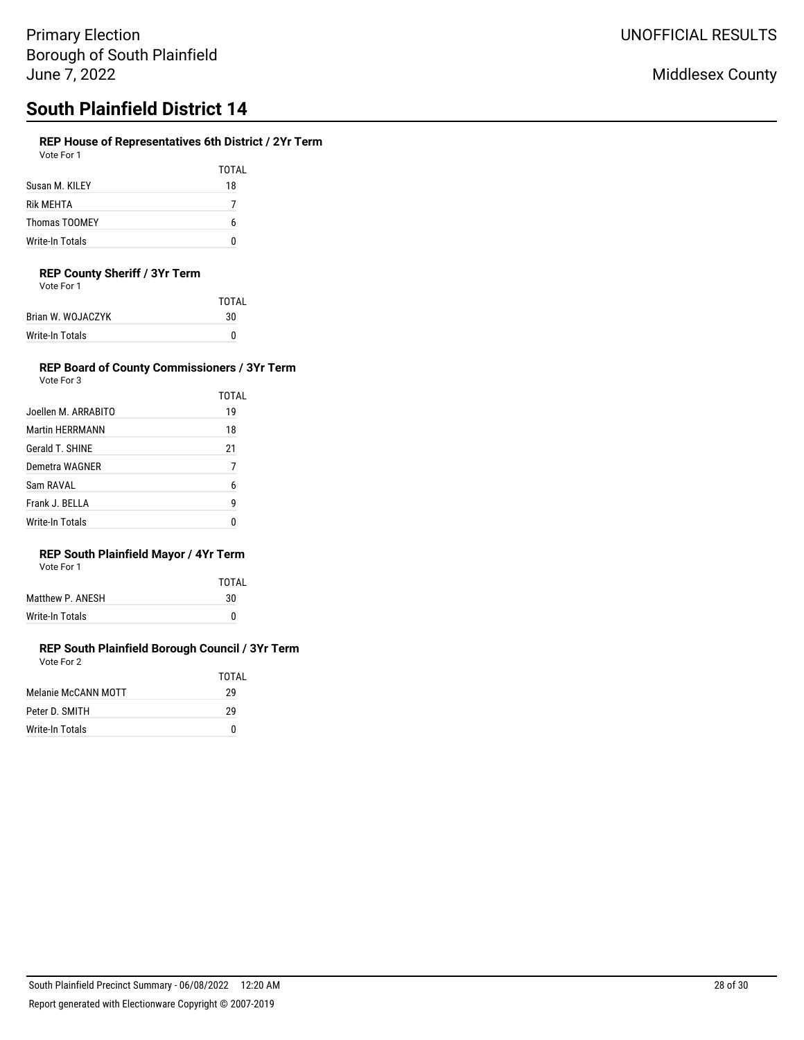# **South Plainfield District 14**

## **REP House of Representatives 6th District / 2Yr Term**

| Vote For 1 |  |
|------------|--|
|------------|--|

|                 | TOTAL |
|-----------------|-------|
| Susan M. KILEY  | 18    |
| Rik MEHTA       |       |
| Thomas TOOMEY   | h     |
| Write-In Totals |       |

### **REP County Sheriff / 3Yr Term**

Vote For 1

| TOTAI |
|-------|
| 30    |
| o     |
|       |

#### **REP Board of County Commissioners / 3Yr Term** Vote For 3

TOTAL

| .<br>$\sim$ |  | . .<br>$\sim$ |  |  |
|-------------|--|---------------|--|--|
|             |  |               |  |  |
|             |  |               |  |  |
|             |  |               |  |  |
|             |  |               |  |  |
|             |  |               |  |  |
|             |  |               |  |  |
|             |  |               |  |  |
|             |  |               |  |  |

| Joellen M. ARRABITO | 19 |
|---------------------|----|
| Martin HERRMANN     | 18 |
| Gerald T. SHINE     | 21 |
| Demetra WAGNER      |    |
| Sam RAVAL           | 6  |
| Frank J. BELLA      | 9  |
| Write-In Totals     |    |

## **REP South Plainfield Mayor / 4Yr Term**

| Vote For 1 |  |
|------------|--|
|            |  |

|                  | TOTAL |
|------------------|-------|
| Matthew P. ANESH | 30    |
| Write-In Totals  | n     |

|                     | TOTAI |
|---------------------|-------|
| Melanie McCANN MOTT | 29    |
| Peter D. SMITH      | 29    |
| Write-In Totals     | n     |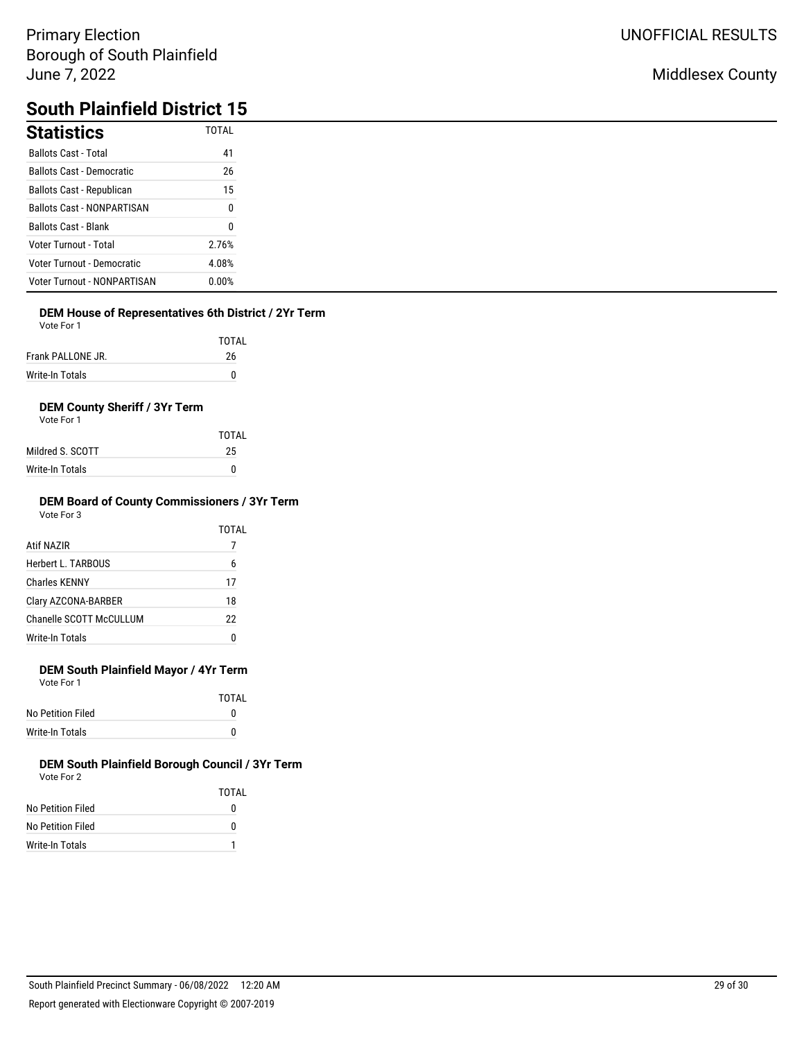## Middlesex County

# **South Plainfield District 15**

| <b>Statistics</b>                  | <b>TOTAL</b> |
|------------------------------------|--------------|
| <b>Ballots Cast - Total</b>        | 41           |
| <b>Ballots Cast - Democratic</b>   | 26           |
| Ballots Cast - Republican          | 15           |
| <b>Ballots Cast - NONPARTISAN</b>  | 0            |
| <b>Ballots Cast - Blank</b>        | 0            |
| <b>Voter Turnout - Total</b>       | 2.76%        |
| Voter Turnout - Democratic         | 4.08%        |
| <b>Voter Turnout - NONPARTISAN</b> | $0.00\%$     |

## **DEM House of Representatives 6th District / 2Yr Term**

| Vote For 1 |  |
|------------|--|
|------------|--|

|                   | TOTAL |
|-------------------|-------|
| Frank PALLONE JR. | 26    |
| Write-In Totals   |       |

## **DEM County Sheriff / 3Yr Term**

| Vote For 1 |  |
|------------|--|
|            |  |

|                  | TOTAI |
|------------------|-------|
| Mildred S. SCOTT | 25    |
| Write-In Totals  | n     |

#### **DEM Board of County Commissioners / 3Yr Term** Vote For 3

|                         | TOTAL |
|-------------------------|-------|
| Atif NAZIR              |       |
| Herbert L. TARBOUS      | 6     |
| <b>Charles KENNY</b>    | 17    |
| Clary AZCONA-BARBER     | 18    |
| Chanelle SCOTT McCULLUM | 22    |
| Write-In Totals         | 0     |
|                         |       |

## **DEM South Plainfield Mayor / 4Yr Term**

Vote For 1

|                   | <b>TOTAL</b> |
|-------------------|--------------|
| No Petition Filed | o            |
| Write-In Totals   | n            |

|                   | TOTAI |
|-------------------|-------|
| No Petition Filed | 0     |
| No Petition Filed | O     |
| Write-In Totals   |       |